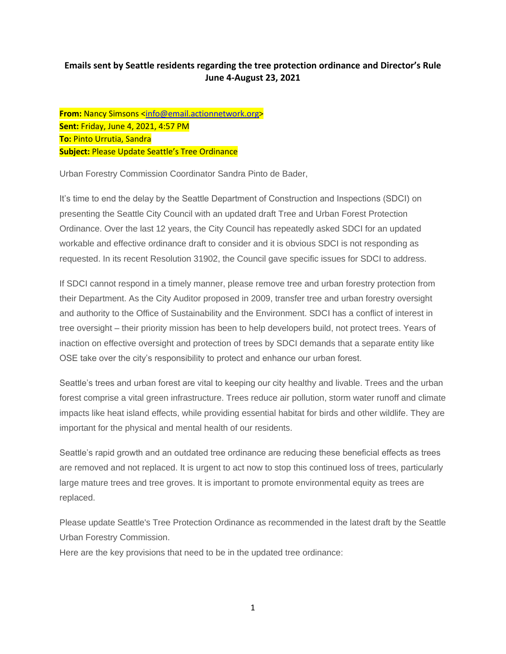## **Emails sent by Seattle residents regarding the tree protection ordinance and Director's Rule June 4-August 23, 2021**

**From:** Nancy Simsons [<info@email.actionnetwork.org>](mailto:info@email.actionnetwork.org) **Sent:** Friday, June 4, 2021, 4:57 PM **To:** Pinto Urrutia, Sandra **Subject:** Please Update Seattle's Tree Ordinance

Urban Forestry Commission Coordinator Sandra Pinto de Bader,

It's time to end the delay by the Seattle Department of Construction and Inspections (SDCI) on presenting the Seattle City Council with an updated draft Tree and Urban Forest Protection Ordinance. Over the last 12 years, the City Council has repeatedly asked SDCI for an updated workable and effective ordinance draft to consider and it is obvious SDCI is not responding as requested. In its recent Resolution 31902, the Council gave specific issues for SDCI to address.

If SDCI cannot respond in a timely manner, please remove tree and urban forestry protection from their Department. As the City Auditor proposed in 2009, transfer tree and urban forestry oversight and authority to the Office of Sustainability and the Environment. SDCI has a conflict of interest in tree oversight – their priority mission has been to help developers build, not protect trees. Years of inaction on effective oversight and protection of trees by SDCI demands that a separate entity like OSE take over the city's responsibility to protect and enhance our urban forest.

Seattle's trees and urban forest are vital to keeping our city healthy and livable. Trees and the urban forest comprise a vital green infrastructure. Trees reduce air pollution, storm water runoff and climate impacts like heat island effects, while providing essential habitat for birds and other wildlife. They are important for the physical and mental health of our residents.

Seattle's rapid growth and an outdated tree ordinance are reducing these beneficial effects as trees are removed and not replaced. It is urgent to act now to stop this continued loss of trees, particularly large mature trees and tree groves. It is important to promote environmental equity as trees are replaced.

Please update Seattle's Tree Protection Ordinance as recommended in the latest draft by the Seattle Urban Forestry Commission.

Here are the key provisions that need to be in the updated tree ordinance: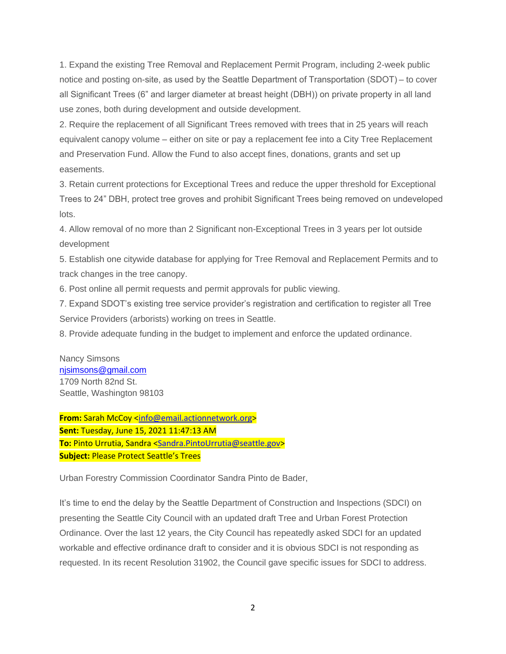1. Expand the existing Tree Removal and Replacement Permit Program, including 2-week public notice and posting on-site, as used by the Seattle Department of Transportation (SDOT) – to cover all Significant Trees (6" and larger diameter at breast height (DBH)) on private property in all land use zones, both during development and outside development.

2. Require the replacement of all Significant Trees removed with trees that in 25 years will reach equivalent canopy volume – either on site or pay a replacement fee into a City Tree Replacement and Preservation Fund. Allow the Fund to also accept fines, donations, grants and set up easements.

3. Retain current protections for Exceptional Trees and reduce the upper threshold for Exceptional Trees to 24" DBH, protect tree groves and prohibit Significant Trees being removed on undeveloped lots.

4. Allow removal of no more than 2 Significant non-Exceptional Trees in 3 years per lot outside development

5. Establish one citywide database for applying for Tree Removal and Replacement Permits and to track changes in the tree canopy.

6. Post online all permit requests and permit approvals for public viewing.

7. Expand SDOT's existing tree service provider's registration and certification to register all Tree Service Providers (arborists) working on trees in Seattle.

8. Provide adequate funding in the budget to implement and enforce the updated ordinance.

Nancy Simsons [njsimsons@gmail.com](mailto:njsimsons@gmail.com) 1709 North 82nd St. Seattle, Washington 98103

**From:** Sarah McCoy [<info@email.actionnetwork.org>](mailto:info@email.actionnetwork.org) **Sent:** Tuesday, June 15, 2021 11:47:13 AM **To:** Pinto Urrutia, Sandra [<Sandra.PintoUrrutia@seattle.gov>](mailto:Sandra.PintoUrrutia@seattle.gov) **Subject:** Please Protect Seattle's Trees

Urban Forestry Commission Coordinator Sandra Pinto de Bader,

It's time to end the delay by the Seattle Department of Construction and Inspections (SDCI) on presenting the Seattle City Council with an updated draft Tree and Urban Forest Protection Ordinance. Over the last 12 years, the City Council has repeatedly asked SDCI for an updated workable and effective ordinance draft to consider and it is obvious SDCI is not responding as requested. In its recent Resolution 31902, the Council gave specific issues for SDCI to address.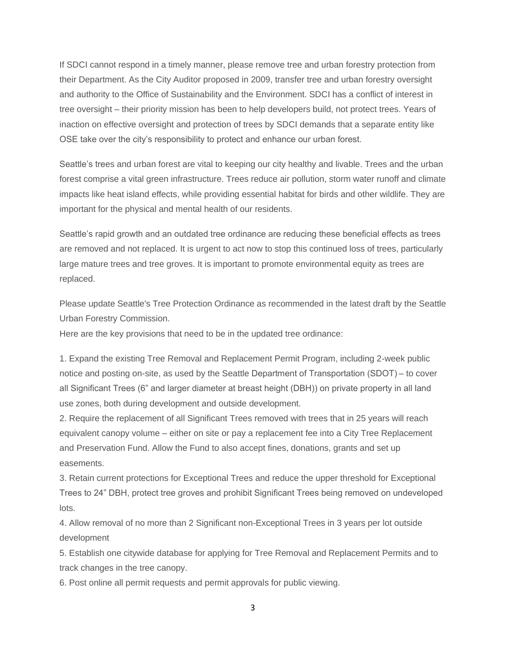If SDCI cannot respond in a timely manner, please remove tree and urban forestry protection from their Department. As the City Auditor proposed in 2009, transfer tree and urban forestry oversight and authority to the Office of Sustainability and the Environment. SDCI has a conflict of interest in tree oversight – their priority mission has been to help developers build, not protect trees. Years of inaction on effective oversight and protection of trees by SDCI demands that a separate entity like OSE take over the city's responsibility to protect and enhance our urban forest.

Seattle's trees and urban forest are vital to keeping our city healthy and livable. Trees and the urban forest comprise a vital green infrastructure. Trees reduce air pollution, storm water runoff and climate impacts like heat island effects, while providing essential habitat for birds and other wildlife. They are important for the physical and mental health of our residents.

Seattle's rapid growth and an outdated tree ordinance are reducing these beneficial effects as trees are removed and not replaced. It is urgent to act now to stop this continued loss of trees, particularly large mature trees and tree groves. It is important to promote environmental equity as trees are replaced.

Please update Seattle's Tree Protection Ordinance as recommended in the latest draft by the Seattle Urban Forestry Commission.

Here are the key provisions that need to be in the updated tree ordinance:

1. Expand the existing Tree Removal and Replacement Permit Program, including 2-week public notice and posting on-site, as used by the Seattle Department of Transportation (SDOT) – to cover all Significant Trees (6" and larger diameter at breast height (DBH)) on private property in all land use zones, both during development and outside development.

2. Require the replacement of all Significant Trees removed with trees that in 25 years will reach equivalent canopy volume – either on site or pay a replacement fee into a City Tree Replacement and Preservation Fund. Allow the Fund to also accept fines, donations, grants and set up easements.

3. Retain current protections for Exceptional Trees and reduce the upper threshold for Exceptional Trees to 24" DBH, protect tree groves and prohibit Significant Trees being removed on undeveloped lots.

4. Allow removal of no more than 2 Significant non-Exceptional Trees in 3 years per lot outside development

5. Establish one citywide database for applying for Tree Removal and Replacement Permits and to track changes in the tree canopy.

6. Post online all permit requests and permit approvals for public viewing.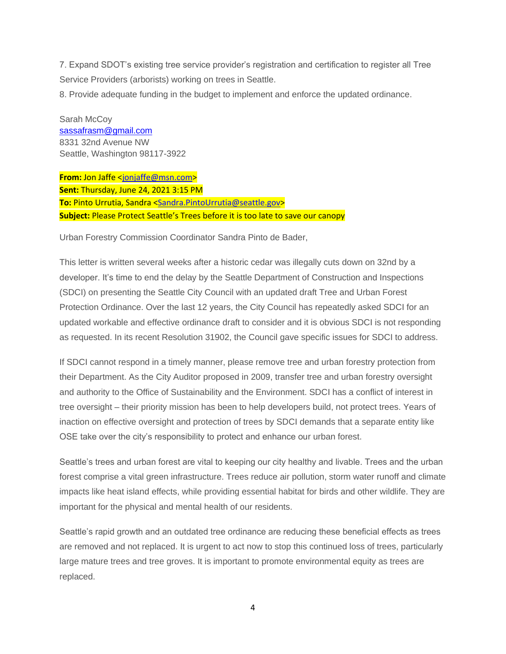7. Expand SDOT's existing tree service provider's registration and certification to register all Tree Service Providers (arborists) working on trees in Seattle.

8. Provide adequate funding in the budget to implement and enforce the updated ordinance.

Sarah McCoy [sassafrasm@gmail.com](mailto:sassafrasm@gmail.com) 8331 32nd Avenue NW Seattle, Washington 98117-3922

**From:** Jon Jaffe [<jonjaffe@msn.com>](mailto:jonjaffe@msn.com) **Sent:** Thursday, June 24, 2021 3:15 PM **To:** Pinto Urrutia, Sandra [<Sandra.PintoUrrutia@seattle.gov>](mailto:Sandra.PintoUrrutia@seattle.gov) **Subject:** Please Protect Seattle's Trees before it is too late to save our canopy

Urban Forestry Commission Coordinator Sandra Pinto de Bader,

This letter is written several weeks after a historic cedar was illegally cuts down on 32nd by a developer. It's time to end the delay by the Seattle Department of Construction and Inspections (SDCI) on presenting the Seattle City Council with an updated draft Tree and Urban Forest Protection Ordinance. Over the last 12 years, the City Council has repeatedly asked SDCI for an updated workable and effective ordinance draft to consider and it is obvious SDCI is not responding as requested. In its recent Resolution 31902, the Council gave specific issues for SDCI to address.

If SDCI cannot respond in a timely manner, please remove tree and urban forestry protection from their Department. As the City Auditor proposed in 2009, transfer tree and urban forestry oversight and authority to the Office of Sustainability and the Environment. SDCI has a conflict of interest in tree oversight – their priority mission has been to help developers build, not protect trees. Years of inaction on effective oversight and protection of trees by SDCI demands that a separate entity like OSE take over the city's responsibility to protect and enhance our urban forest.

Seattle's trees and urban forest are vital to keeping our city healthy and livable. Trees and the urban forest comprise a vital green infrastructure. Trees reduce air pollution, storm water runoff and climate impacts like heat island effects, while providing essential habitat for birds and other wildlife. They are important for the physical and mental health of our residents.

Seattle's rapid growth and an outdated tree ordinance are reducing these beneficial effects as trees are removed and not replaced. It is urgent to act now to stop this continued loss of trees, particularly large mature trees and tree groves. It is important to promote environmental equity as trees are replaced.

4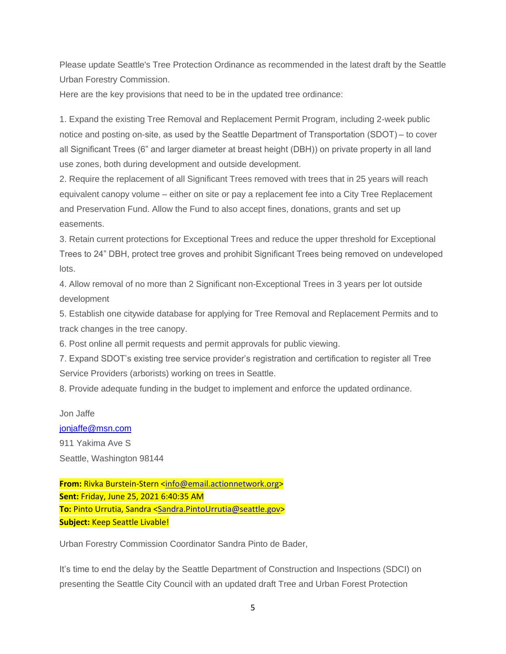Please update Seattle's Tree Protection Ordinance as recommended in the latest draft by the Seattle Urban Forestry Commission.

Here are the key provisions that need to be in the updated tree ordinance:

1. Expand the existing Tree Removal and Replacement Permit Program, including 2-week public notice and posting on-site, as used by the Seattle Department of Transportation (SDOT) – to cover all Significant Trees (6" and larger diameter at breast height (DBH)) on private property in all land use zones, both during development and outside development.

2. Require the replacement of all Significant Trees removed with trees that in 25 years will reach equivalent canopy volume – either on site or pay a replacement fee into a City Tree Replacement and Preservation Fund. Allow the Fund to also accept fines, donations, grants and set up easements.

3. Retain current protections for Exceptional Trees and reduce the upper threshold for Exceptional Trees to 24" DBH, protect tree groves and prohibit Significant Trees being removed on undeveloped lots.

4. Allow removal of no more than 2 Significant non-Exceptional Trees in 3 years per lot outside development

5. Establish one citywide database for applying for Tree Removal and Replacement Permits and to track changes in the tree canopy.

6. Post online all permit requests and permit approvals for public viewing.

7. Expand SDOT's existing tree service provider's registration and certification to register all Tree Service Providers (arborists) working on trees in Seattle.

8. Provide adequate funding in the budget to implement and enforce the updated ordinance.

Jon Jaffe

[jonjaffe@msn.com](mailto:jonjaffe@msn.com)

911 Yakima Ave S Seattle, Washington 98144

**From:** Rivka Burstein-Stern [<info@email.actionnetwork.org>](mailto:info@email.actionnetwork.org) **Sent:** Friday, June 25, 2021 6:40:35 AM **To:** Pinto Urrutia, Sandra [<Sandra.PintoUrrutia@seattle.gov>](mailto:Sandra.PintoUrrutia@seattle.gov) **Subject:** Keep Seattle Livable!

Urban Forestry Commission Coordinator Sandra Pinto de Bader,

It's time to end the delay by the Seattle Department of Construction and Inspections (SDCI) on presenting the Seattle City Council with an updated draft Tree and Urban Forest Protection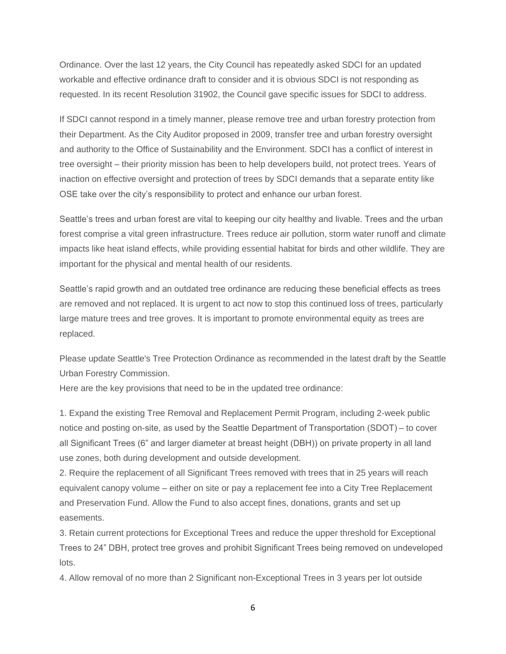Ordinance. Over the last 12 years, the City Council has repeatedly asked SDCI for an updated workable and effective ordinance draft to consider and it is obvious SDCI is not responding as requested. In its recent Resolution 31902, the Council gave specific issues for SDCI to address.

If SDCI cannot respond in a timely manner, please remove tree and urban forestry protection from their Department. As the City Auditor proposed in 2009, transfer tree and urban forestry oversight and authority to the Office of Sustainability and the Environment. SDCI has a conflict of interest in tree oversight – their priority mission has been to help developers build, not protect trees. Years of inaction on effective oversight and protection of trees by SDCI demands that a separate entity like OSE take over the city's responsibility to protect and enhance our urban forest.

Seattle's trees and urban forest are vital to keeping our city healthy and livable. Trees and the urban forest comprise a vital green infrastructure. Trees reduce air pollution, storm water runoff and climate impacts like heat island effects, while providing essential habitat for birds and other wildlife. They are important for the physical and mental health of our residents.

Seattle's rapid growth and an outdated tree ordinance are reducing these beneficial effects as trees are removed and not replaced. It is urgent to act now to stop this continued loss of trees, particularly large mature trees and tree groves. It is important to promote environmental equity as trees are replaced.

Please update Seattle's Tree Protection Ordinance as recommended in the latest draft by the Seattle Urban Forestry Commission.

Here are the key provisions that need to be in the updated tree ordinance:

1. Expand the existing Tree Removal and Replacement Permit Program, including 2-week public notice and posting on-site, as used by the Seattle Department of Transportation (SDOT) – to cover all Significant Trees (6" and larger diameter at breast height (DBH)) on private property in all land use zones, both during development and outside development.

2. Require the replacement of all Significant Trees removed with trees that in 25 years will reach equivalent canopy volume – either on site or pay a replacement fee into a City Tree Replacement and Preservation Fund. Allow the Fund to also accept fines, donations, grants and set up easements.

3. Retain current protections for Exceptional Trees and reduce the upper threshold for Exceptional Trees to 24" DBH, protect tree groves and prohibit Significant Trees being removed on undeveloped lots.

4. Allow removal of no more than 2 Significant non-Exceptional Trees in 3 years per lot outside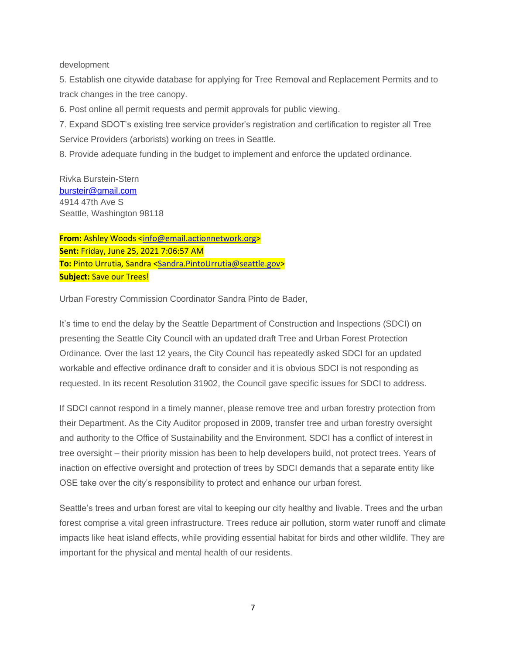#### development

5. Establish one citywide database for applying for Tree Removal and Replacement Permits and to track changes in the tree canopy.

6. Post online all permit requests and permit approvals for public viewing.

7. Expand SDOT's existing tree service provider's registration and certification to register all Tree Service Providers (arborists) working on trees in Seattle.

8. Provide adequate funding in the budget to implement and enforce the updated ordinance.

Rivka Burstein-Stern [bursteir@gmail.com](mailto:bursteir@gmail.com) 4914 47th Ave S Seattle, Washington 98118

From: Ashley Woods [<info@email.actionnetwork.org>](mailto:info@email.actionnetwork.org) **Sent:** Friday, June 25, 2021 7:06:57 AM **To:** Pinto Urrutia, Sandra [<Sandra.PintoUrrutia@seattle.gov>](mailto:Sandra.PintoUrrutia@seattle.gov) **Subject:** Save our Trees!

Urban Forestry Commission Coordinator Sandra Pinto de Bader,

It's time to end the delay by the Seattle Department of Construction and Inspections (SDCI) on presenting the Seattle City Council with an updated draft Tree and Urban Forest Protection Ordinance. Over the last 12 years, the City Council has repeatedly asked SDCI for an updated workable and effective ordinance draft to consider and it is obvious SDCI is not responding as requested. In its recent Resolution 31902, the Council gave specific issues for SDCI to address.

If SDCI cannot respond in a timely manner, please remove tree and urban forestry protection from their Department. As the City Auditor proposed in 2009, transfer tree and urban forestry oversight and authority to the Office of Sustainability and the Environment. SDCI has a conflict of interest in tree oversight – their priority mission has been to help developers build, not protect trees. Years of inaction on effective oversight and protection of trees by SDCI demands that a separate entity like OSE take over the city's responsibility to protect and enhance our urban forest.

Seattle's trees and urban forest are vital to keeping our city healthy and livable. Trees and the urban forest comprise a vital green infrastructure. Trees reduce air pollution, storm water runoff and climate impacts like heat island effects, while providing essential habitat for birds and other wildlife. They are important for the physical and mental health of our residents.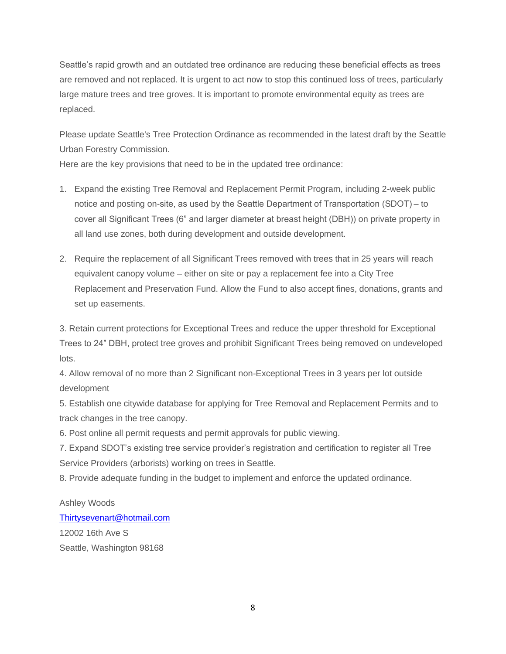Seattle's rapid growth and an outdated tree ordinance are reducing these beneficial effects as trees are removed and not replaced. It is urgent to act now to stop this continued loss of trees, particularly large mature trees and tree groves. It is important to promote environmental equity as trees are replaced.

Please update Seattle's Tree Protection Ordinance as recommended in the latest draft by the Seattle Urban Forestry Commission.

Here are the key provisions that need to be in the updated tree ordinance:

- 1. Expand the existing Tree Removal and Replacement Permit Program, including 2-week public notice and posting on-site, as used by the Seattle Department of Transportation (SDOT) – to cover all Significant Trees (6" and larger diameter at breast height (DBH)) on private property in all land use zones, both during development and outside development.
- 2. Require the replacement of all Significant Trees removed with trees that in 25 years will reach equivalent canopy volume – either on site or pay a replacement fee into a City Tree Replacement and Preservation Fund. Allow the Fund to also accept fines, donations, grants and set up easements.

3. Retain current protections for Exceptional Trees and reduce the upper threshold for Exceptional Trees to 24" DBH, protect tree groves and prohibit Significant Trees being removed on undeveloped lots.

4. Allow removal of no more than 2 Significant non-Exceptional Trees in 3 years per lot outside development

5. Establish one citywide database for applying for Tree Removal and Replacement Permits and to track changes in the tree canopy.

6. Post online all permit requests and permit approvals for public viewing.

7. Expand SDOT's existing tree service provider's registration and certification to register all Tree Service Providers (arborists) working on trees in Seattle.

8. Provide adequate funding in the budget to implement and enforce the updated ordinance.

Ashley Woods [Thirtysevenart@hotmail.com](mailto:Thirtysevenart@hotmail.com) 12002 16th Ave S Seattle, Washington 98168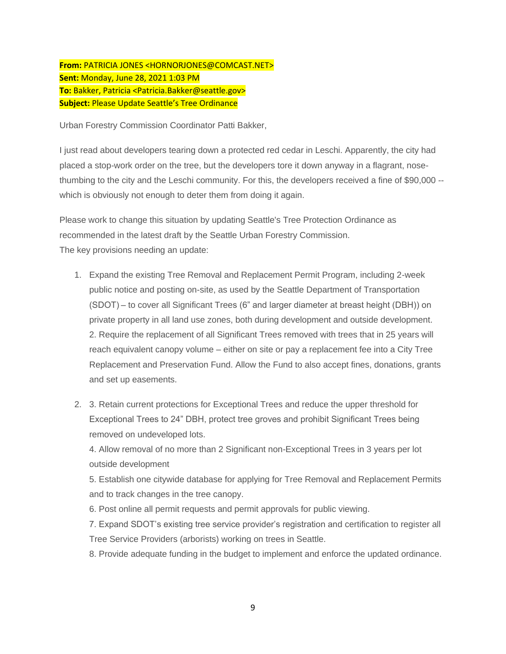## **From:** PATRICIA JONES <HORNORJONES@COMCAST.NET> **Sent:** Monday, June 28, 2021 1:03 PM **To:** Bakker, Patricia <Patricia.Bakker@seattle.gov> **Subject:** Please Update Seattle's Tree Ordinance

Urban Forestry Commission Coordinator Patti Bakker,

I just read about developers tearing down a protected red cedar in Leschi. Apparently, the city had placed a stop-work order on the tree, but the developers tore it down anyway in a flagrant, nosethumbing to the city and the Leschi community. For this, the developers received a fine of \$90,000 - which is obviously not enough to deter them from doing it again.

Please work to change this situation by updating Seattle's Tree Protection Ordinance as recommended in the latest draft by the Seattle Urban Forestry Commission. The key provisions needing an update:

- 1. Expand the existing Tree Removal and Replacement Permit Program, including 2-week public notice and posting on-site, as used by the Seattle Department of Transportation (SDOT) – to cover all Significant Trees (6" and larger diameter at breast height (DBH)) on private property in all land use zones, both during development and outside development. 2. Require the replacement of all Significant Trees removed with trees that in 25 years will reach equivalent canopy volume – either on site or pay a replacement fee into a City Tree Replacement and Preservation Fund. Allow the Fund to also accept fines, donations, grants and set up easements.
- 2. 3. Retain current protections for Exceptional Trees and reduce the upper threshold for Exceptional Trees to 24" DBH, protect tree groves and prohibit Significant Trees being removed on undeveloped lots.

4. Allow removal of no more than 2 Significant non-Exceptional Trees in 3 years per lot outside development

5. Establish one citywide database for applying for Tree Removal and Replacement Permits and to track changes in the tree canopy.

6. Post online all permit requests and permit approvals for public viewing.

7. Expand SDOT's existing tree service provider's registration and certification to register all Tree Service Providers (arborists) working on trees in Seattle.

8. Provide adequate funding in the budget to implement and enforce the updated ordinance.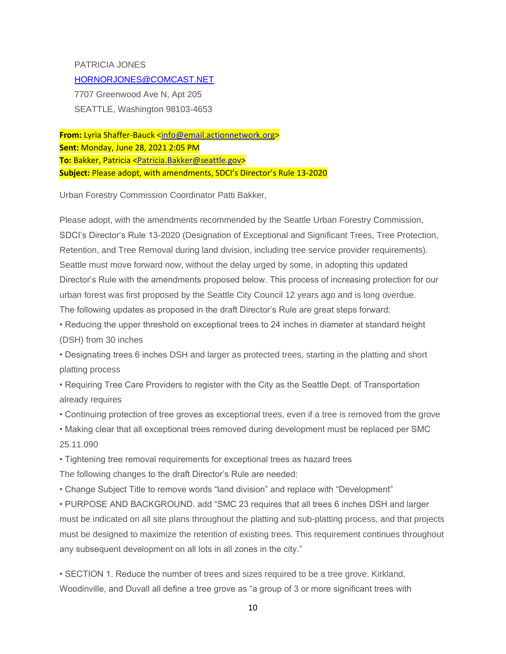PATRICIA JONES [HORNORJONES@COMCAST.NET](mailto:HORNORJONES@COMCAST.NET) 7707 Greenwood Ave N, Apt 205 SEATTLE, Washington 98103-4653

From: Lyria Shaffer-Bauck [<info@email.actionnetwork.org>](mailto:info@email.actionnetwork.org) **Sent:** Monday, June 28, 2021 2:05 PM **To:** Bakker, Patricia [<Patricia.Bakker@seattle.gov>](mailto:Patricia.Bakker@seattle.gov) **Subject:** Please adopt, with amendments, SDCI's Director's Rule 13-2020

Urban Forestry Commission Coordinator Patti Bakker,

Please adopt, with the amendments recommended by the Seattle Urban Forestry Commission, SDCI's Director's Rule 13-2020 (Designation of Exceptional and Significant Trees, Tree Protection, Retention, and Tree Removal during land division, including tree service provider requirements). Seattle must move forward now, without the delay urged by some, in adopting this updated Director's Rule with the amendments proposed below. This process of increasing protection for our urban forest was first proposed by the Seattle City Council 12 years ago and is long overdue. The following updates as proposed in the draft Director's Rule are great steps forward:

- Reducing the upper threshold on exceptional trees to 24 inches in diameter at standard height (DSH) from 30 inches
- Designating trees 6 inches DSH and larger as protected trees, starting in the platting and short platting process

• Requiring Tree Care Providers to register with the City as the Seattle Dept. of Transportation already requires

- Continuing protection of tree groves as exceptional trees, even if a tree is removed from the grove
- Making clear that all exceptional trees removed during development must be replaced per SMC 25.11.090

• Tightening tree removal requirements for exceptional trees as hazard trees The following changes to the draft Director's Rule are needed:

• Change Subject Title to remove words "land division" and replace with "Development"

• PURPOSE AND BACKGROUND. add "SMC 23 requires that all trees 6 inches DSH and larger must be indicated on all site plans throughout the platting and sub-platting process, and that projects must be designed to maximize the retention of existing trees. This requirement continues throughout any subsequent development on all lots in all zones in the city."

• SECTION 1. Reduce the number of trees and sizes required to be a tree grove. Kirkland, Woodinville, and Duvall all define a tree grove as "a group of 3 or more significant trees with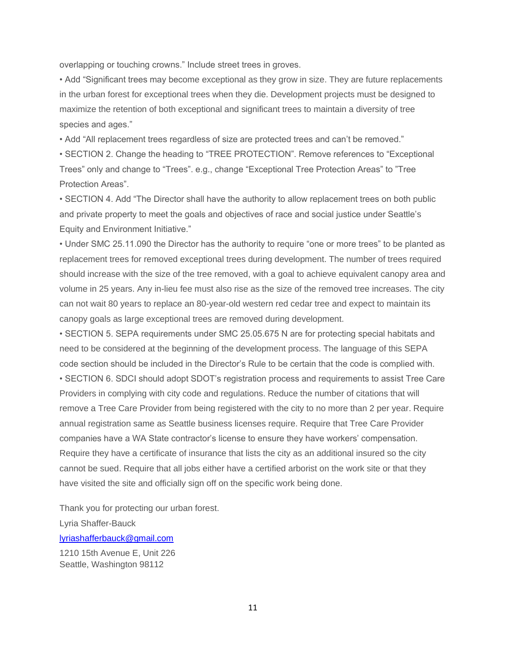overlapping or touching crowns." Include street trees in groves.

• Add "Significant trees may become exceptional as they grow in size. They are future replacements in the urban forest for exceptional trees when they die. Development projects must be designed to maximize the retention of both exceptional and significant trees to maintain a diversity of tree species and ages."

• Add "All replacement trees regardless of size are protected trees and can't be removed."

• SECTION 2. Change the heading to "TREE PROTECTION". Remove references to "Exceptional Trees" only and change to "Trees". e.g., change "Exceptional Tree Protection Areas" to "Tree Protection Areas".

• SECTION 4. Add "The Director shall have the authority to allow replacement trees on both public and private property to meet the goals and objectives of race and social justice under Seattle's Equity and Environment Initiative."

• Under SMC 25.11.090 the Director has the authority to require "one or more trees" to be planted as replacement trees for removed exceptional trees during development. The number of trees required should increase with the size of the tree removed, with a goal to achieve equivalent canopy area and volume in 25 years. Any in-lieu fee must also rise as the size of the removed tree increases. The city can not wait 80 years to replace an 80-year-old western red cedar tree and expect to maintain its canopy goals as large exceptional trees are removed during development.

• SECTION 5. SEPA requirements under SMC 25.05.675 N are for protecting special habitats and need to be considered at the beginning of the development process. The language of this SEPA code section should be included in the Director's Rule to be certain that the code is complied with. • SECTION 6. SDCI should adopt SDOT's registration process and requirements to assist Tree Care Providers in complying with city code and regulations. Reduce the number of citations that will remove a Tree Care Provider from being registered with the city to no more than 2 per year. Require annual registration same as Seattle business licenses require. Require that Tree Care Provider companies have a WA State contractor's license to ensure they have workers' compensation. Require they have a certificate of insurance that lists the city as an additional insured so the city cannot be sued. Require that all jobs either have a certified arborist on the work site or that they have visited the site and officially sign off on the specific work being done.

Thank you for protecting our urban forest. Lyria Shaffer-Bauck [lyriashafferbauck@gmail.com](mailto:lyriashafferbauck@gmail.com)

1210 15th Avenue E, Unit 226 Seattle, Washington 98112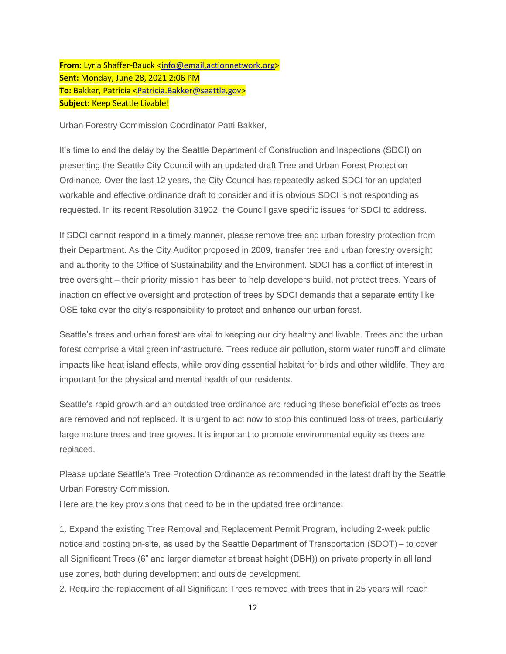From: Lyria Shaffer-Bauck [<info@email.actionnetwork.org>](mailto:info@email.actionnetwork.org) **Sent:** Monday, June 28, 2021 2:06 PM **To:** Bakker, Patricia [<Patricia.Bakker@seattle.gov>](mailto:Patricia.Bakker@seattle.gov) **Subject:** Keep Seattle Livable!

Urban Forestry Commission Coordinator Patti Bakker,

It's time to end the delay by the Seattle Department of Construction and Inspections (SDCI) on presenting the Seattle City Council with an updated draft Tree and Urban Forest Protection Ordinance. Over the last 12 years, the City Council has repeatedly asked SDCI for an updated workable and effective ordinance draft to consider and it is obvious SDCI is not responding as requested. In its recent Resolution 31902, the Council gave specific issues for SDCI to address.

If SDCI cannot respond in a timely manner, please remove tree and urban forestry protection from their Department. As the City Auditor proposed in 2009, transfer tree and urban forestry oversight and authority to the Office of Sustainability and the Environment. SDCI has a conflict of interest in tree oversight – their priority mission has been to help developers build, not protect trees. Years of inaction on effective oversight and protection of trees by SDCI demands that a separate entity like OSE take over the city's responsibility to protect and enhance our urban forest.

Seattle's trees and urban forest are vital to keeping our city healthy and livable. Trees and the urban forest comprise a vital green infrastructure. Trees reduce air pollution, storm water runoff and climate impacts like heat island effects, while providing essential habitat for birds and other wildlife. They are important for the physical and mental health of our residents.

Seattle's rapid growth and an outdated tree ordinance are reducing these beneficial effects as trees are removed and not replaced. It is urgent to act now to stop this continued loss of trees, particularly large mature trees and tree groves. It is important to promote environmental equity as trees are replaced.

Please update Seattle's Tree Protection Ordinance as recommended in the latest draft by the Seattle Urban Forestry Commission.

Here are the key provisions that need to be in the updated tree ordinance:

1. Expand the existing Tree Removal and Replacement Permit Program, including 2-week public notice and posting on-site, as used by the Seattle Department of Transportation (SDOT) – to cover all Significant Trees (6" and larger diameter at breast height (DBH)) on private property in all land use zones, both during development and outside development.

2. Require the replacement of all Significant Trees removed with trees that in 25 years will reach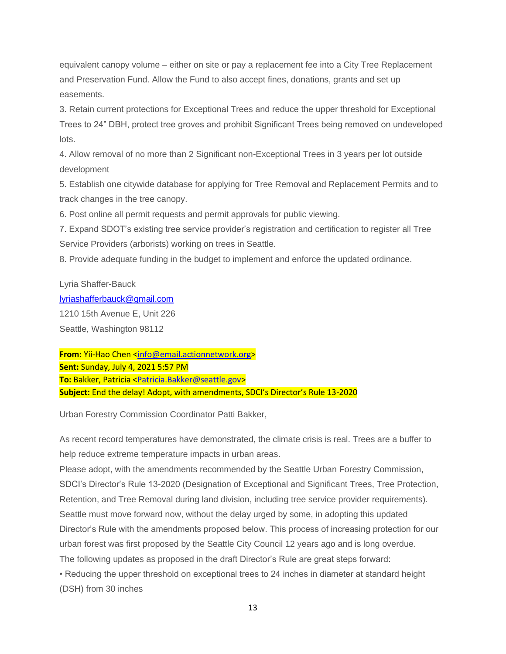equivalent canopy volume – either on site or pay a replacement fee into a City Tree Replacement and Preservation Fund. Allow the Fund to also accept fines, donations, grants and set up easements.

3. Retain current protections for Exceptional Trees and reduce the upper threshold for Exceptional Trees to 24" DBH, protect tree groves and prohibit Significant Trees being removed on undeveloped lots.

4. Allow removal of no more than 2 Significant non-Exceptional Trees in 3 years per lot outside development

5. Establish one citywide database for applying for Tree Removal and Replacement Permits and to track changes in the tree canopy.

6. Post online all permit requests and permit approvals for public viewing.

7. Expand SDOT's existing tree service provider's registration and certification to register all Tree Service Providers (arborists) working on trees in Seattle.

8. Provide adequate funding in the budget to implement and enforce the updated ordinance.

Lyria Shaffer-Bauck

[lyriashafferbauck@gmail.com](mailto:lyriashafferbauck@gmail.com)

1210 15th Avenue E, Unit 226 Seattle, Washington 98112

From: Yii-Hao Chen [<info@email.actionnetwork.org>](mailto:info@email.actionnetwork.org) **Sent:** Sunday, July 4, 2021 5:57 PM **To:** Bakker, Patricia [<Patricia.Bakker@seattle.gov>](mailto:Patricia.Bakker@seattle.gov) **Subject:** End the delay! Adopt, with amendments, SDCI's Director's Rule 13-2020

Urban Forestry Commission Coordinator Patti Bakker,

As recent record temperatures have demonstrated, the climate crisis is real. Trees are a buffer to help reduce extreme temperature impacts in urban areas.

Please adopt, with the amendments recommended by the Seattle Urban Forestry Commission, SDCI's Director's Rule 13-2020 (Designation of Exceptional and Significant Trees, Tree Protection, Retention, and Tree Removal during land division, including tree service provider requirements). Seattle must move forward now, without the delay urged by some, in adopting this updated Director's Rule with the amendments proposed below. This process of increasing protection for our urban forest was first proposed by the Seattle City Council 12 years ago and is long overdue. The following updates as proposed in the draft Director's Rule are great steps forward:

• Reducing the upper threshold on exceptional trees to 24 inches in diameter at standard height (DSH) from 30 inches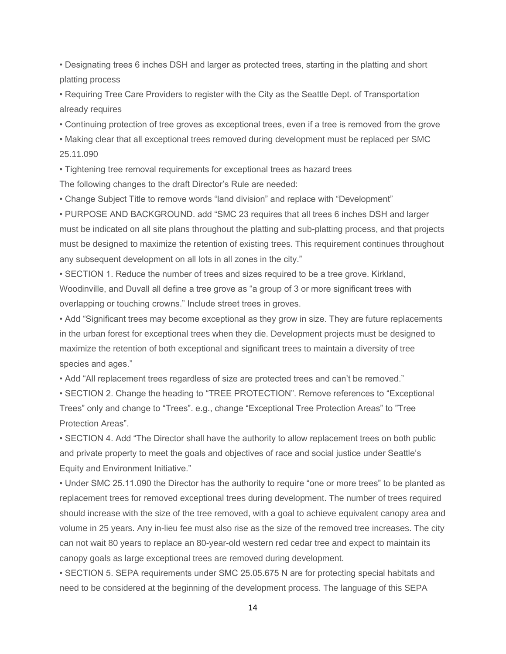• Designating trees 6 inches DSH and larger as protected trees, starting in the platting and short platting process

• Requiring Tree Care Providers to register with the City as the Seattle Dept. of Transportation already requires

• Continuing protection of tree groves as exceptional trees, even if a tree is removed from the grove

• Making clear that all exceptional trees removed during development must be replaced per SMC 25.11.090

• Tightening tree removal requirements for exceptional trees as hazard trees

The following changes to the draft Director's Rule are needed:

• Change Subject Title to remove words "land division" and replace with "Development"

• PURPOSE AND BACKGROUND. add "SMC 23 requires that all trees 6 inches DSH and larger must be indicated on all site plans throughout the platting and sub-platting process, and that projects must be designed to maximize the retention of existing trees. This requirement continues throughout any subsequent development on all lots in all zones in the city."

• SECTION 1. Reduce the number of trees and sizes required to be a tree grove. Kirkland, Woodinville, and Duvall all define a tree grove as "a group of 3 or more significant trees with overlapping or touching crowns." Include street trees in groves.

• Add "Significant trees may become exceptional as they grow in size. They are future replacements in the urban forest for exceptional trees when they die. Development projects must be designed to maximize the retention of both exceptional and significant trees to maintain a diversity of tree species and ages."

• Add "All replacement trees regardless of size are protected trees and can't be removed."

• SECTION 2. Change the heading to "TREE PROTECTION". Remove references to "Exceptional Trees" only and change to "Trees". e.g., change "Exceptional Tree Protection Areas" to "Tree Protection Areas".

• SECTION 4. Add "The Director shall have the authority to allow replacement trees on both public and private property to meet the goals and objectives of race and social justice under Seattle's Equity and Environment Initiative."

• Under SMC 25.11.090 the Director has the authority to require "one or more trees" to be planted as replacement trees for removed exceptional trees during development. The number of trees required should increase with the size of the tree removed, with a goal to achieve equivalent canopy area and volume in 25 years. Any in-lieu fee must also rise as the size of the removed tree increases. The city can not wait 80 years to replace an 80-year-old western red cedar tree and expect to maintain its canopy goals as large exceptional trees are removed during development.

• SECTION 5. SEPA requirements under SMC 25.05.675 N are for protecting special habitats and need to be considered at the beginning of the development process. The language of this SEPA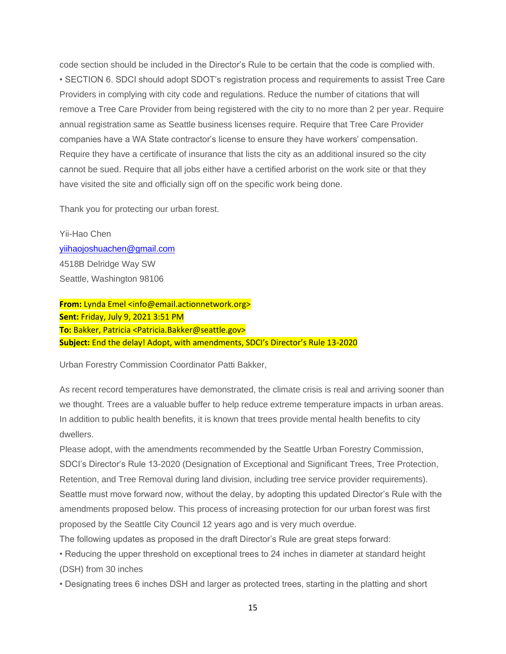code section should be included in the Director's Rule to be certain that the code is complied with. • SECTION 6. SDCI should adopt SDOT's registration process and requirements to assist Tree Care Providers in complying with city code and regulations. Reduce the number of citations that will remove a Tree Care Provider from being registered with the city to no more than 2 per year. Require annual registration same as Seattle business licenses require. Require that Tree Care Provider companies have a WA State contractor's license to ensure they have workers' compensation. Require they have a certificate of insurance that lists the city as an additional insured so the city cannot be sued. Require that all jobs either have a certified arborist on the work site or that they have visited the site and officially sign off on the specific work being done.

Thank you for protecting our urban forest.

Yii-Hao Chen [yiihaojoshuachen@gmail.com](mailto:yiihaojoshuachen@gmail.com) 4518B Delridge Way SW Seattle, Washington 98106

**From:** Lynda Emel <info@email.actionnetwork.org> **Sent:** Friday, July 9, 2021 3:51 PM **To:** Bakker, Patricia <Patricia.Bakker@seattle.gov> **Subject:** End the delay! Adopt, with amendments, SDCI's Director's Rule 13-2020

Urban Forestry Commission Coordinator Patti Bakker,

As recent record temperatures have demonstrated, the climate crisis is real and arriving sooner than we thought. Trees are a valuable buffer to help reduce extreme temperature impacts in urban areas. In addition to public health benefits, it is known that trees provide mental health benefits to city dwellers.

Please adopt, with the amendments recommended by the Seattle Urban Forestry Commission, SDCI's Director's Rule 13-2020 (Designation of Exceptional and Significant Trees, Tree Protection, Retention, and Tree Removal during land division, including tree service provider requirements). Seattle must move forward now, without the delay, by adopting this updated Director's Rule with the amendments proposed below. This process of increasing protection for our urban forest was first proposed by the Seattle City Council 12 years ago and is very much overdue.

The following updates as proposed in the draft Director's Rule are great steps forward:

• Reducing the upper threshold on exceptional trees to 24 inches in diameter at standard height (DSH) from 30 inches

• Designating trees 6 inches DSH and larger as protected trees, starting in the platting and short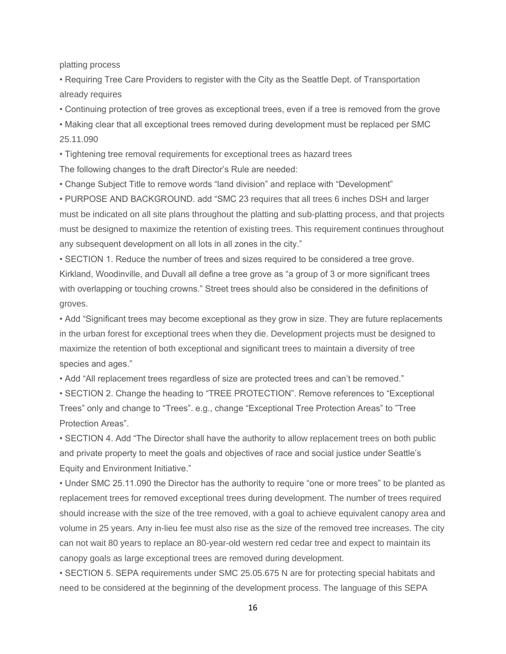platting process

• Requiring Tree Care Providers to register with the City as the Seattle Dept. of Transportation already requires

• Continuing protection of tree groves as exceptional trees, even if a tree is removed from the grove

• Making clear that all exceptional trees removed during development must be replaced per SMC 25.11.090

• Tightening tree removal requirements for exceptional trees as hazard trees The following changes to the draft Director's Rule are needed:

• Change Subject Title to remove words "land division" and replace with "Development"

• PURPOSE AND BACKGROUND. add "SMC 23 requires that all trees 6 inches DSH and larger must be indicated on all site plans throughout the platting and sub-platting process, and that projects must be designed to maximize the retention of existing trees. This requirement continues throughout any subsequent development on all lots in all zones in the city."

• SECTION 1. Reduce the number of trees and sizes required to be considered a tree grove. Kirkland, Woodinville, and Duvall all define a tree grove as "a group of 3 or more significant trees with overlapping or touching crowns." Street trees should also be considered in the definitions of groves.

• Add "Significant trees may become exceptional as they grow in size. They are future replacements in the urban forest for exceptional trees when they die. Development projects must be designed to maximize the retention of both exceptional and significant trees to maintain a diversity of tree species and ages."

• Add "All replacement trees regardless of size are protected trees and can't be removed."

• SECTION 2. Change the heading to "TREE PROTECTION". Remove references to "Exceptional Trees" only and change to "Trees". e.g., change "Exceptional Tree Protection Areas" to "Tree Protection Areas".

• SECTION 4. Add "The Director shall have the authority to allow replacement trees on both public and private property to meet the goals and objectives of race and social justice under Seattle's Equity and Environment Initiative."

• Under SMC 25.11.090 the Director has the authority to require "one or more trees" to be planted as replacement trees for removed exceptional trees during development. The number of trees required should increase with the size of the tree removed, with a goal to achieve equivalent canopy area and volume in 25 years. Any in-lieu fee must also rise as the size of the removed tree increases. The city can not wait 80 years to replace an 80-year-old western red cedar tree and expect to maintain its canopy goals as large exceptional trees are removed during development.

• SECTION 5. SEPA requirements under SMC 25.05.675 N are for protecting special habitats and need to be considered at the beginning of the development process. The language of this SEPA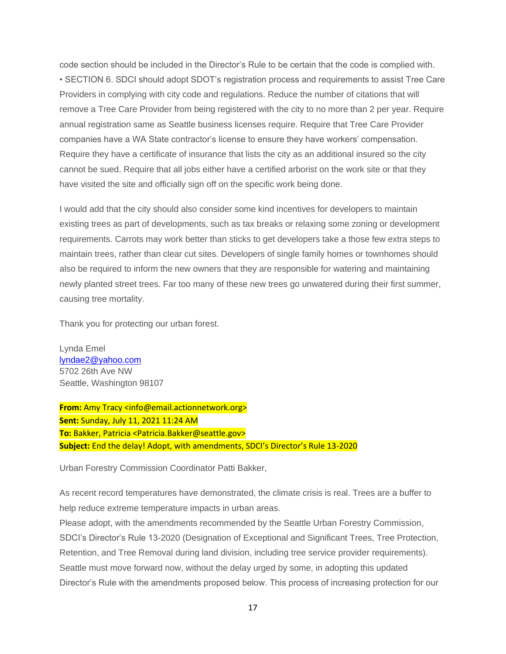code section should be included in the Director's Rule to be certain that the code is complied with. • SECTION 6. SDCI should adopt SDOT's registration process and requirements to assist Tree Care Providers in complying with city code and regulations. Reduce the number of citations that will remove a Tree Care Provider from being registered with the city to no more than 2 per year. Require annual registration same as Seattle business licenses require. Require that Tree Care Provider companies have a WA State contractor's license to ensure they have workers' compensation. Require they have a certificate of insurance that lists the city as an additional insured so the city cannot be sued. Require that all jobs either have a certified arborist on the work site or that they have visited the site and officially sign off on the specific work being done.

I would add that the city should also consider some kind incentives for developers to maintain existing trees as part of developments, such as tax breaks or relaxing some zoning or development requirements. Carrots may work better than sticks to get developers take a those few extra steps to maintain trees, rather than clear cut sites. Developers of single family homes or townhomes should also be required to inform the new owners that they are responsible for watering and maintaining newly planted street trees. Far too many of these new trees go unwatered during their first summer, causing tree mortality.

Thank you for protecting our urban forest.

Lynda Emel [lyndae2@yahoo.com](mailto:lyndae2@yahoo.com) 5702 26th Ave NW Seattle, Washington 98107

**From:** Amy Tracy <info@email.actionnetwork.org> **Sent:** Sunday, July 11, 2021 11:24 AM **To:** Bakker, Patricia <Patricia.Bakker@seattle.gov> **Subject:** End the delay! Adopt, with amendments, SDCI's Director's Rule 13-2020

Urban Forestry Commission Coordinator Patti Bakker,

As recent record temperatures have demonstrated, the climate crisis is real. Trees are a buffer to help reduce extreme temperature impacts in urban areas.

Please adopt, with the amendments recommended by the Seattle Urban Forestry Commission, SDCI's Director's Rule 13-2020 (Designation of Exceptional and Significant Trees, Tree Protection, Retention, and Tree Removal during land division, including tree service provider requirements). Seattle must move forward now, without the delay urged by some, in adopting this updated Director's Rule with the amendments proposed below. This process of increasing protection for our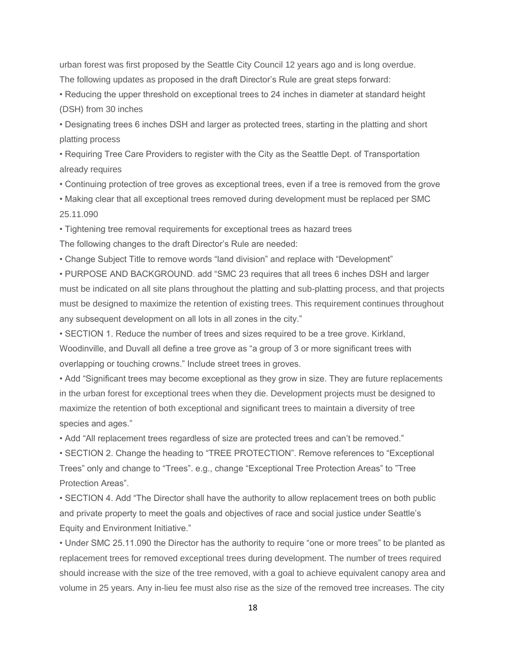urban forest was first proposed by the Seattle City Council 12 years ago and is long overdue. The following updates as proposed in the draft Director's Rule are great steps forward:

• Reducing the upper threshold on exceptional trees to 24 inches in diameter at standard height (DSH) from 30 inches

• Designating trees 6 inches DSH and larger as protected trees, starting in the platting and short platting process

• Requiring Tree Care Providers to register with the City as the Seattle Dept. of Transportation already requires

• Continuing protection of tree groves as exceptional trees, even if a tree is removed from the grove

• Making clear that all exceptional trees removed during development must be replaced per SMC 25.11.090

• Tightening tree removal requirements for exceptional trees as hazard trees

The following changes to the draft Director's Rule are needed:

• Change Subject Title to remove words "land division" and replace with "Development"

• PURPOSE AND BACKGROUND. add "SMC 23 requires that all trees 6 inches DSH and larger must be indicated on all site plans throughout the platting and sub-platting process, and that projects must be designed to maximize the retention of existing trees. This requirement continues throughout any subsequent development on all lots in all zones in the city."

• SECTION 1. Reduce the number of trees and sizes required to be a tree grove. Kirkland, Woodinville, and Duvall all define a tree grove as "a group of 3 or more significant trees with overlapping or touching crowns." Include street trees in groves.

• Add "Significant trees may become exceptional as they grow in size. They are future replacements in the urban forest for exceptional trees when they die. Development projects must be designed to maximize the retention of both exceptional and significant trees to maintain a diversity of tree species and ages."

• Add "All replacement trees regardless of size are protected trees and can't be removed."

• SECTION 2. Change the heading to "TREE PROTECTION". Remove references to "Exceptional Trees" only and change to "Trees". e.g., change "Exceptional Tree Protection Areas" to "Tree Protection Areas".

• SECTION 4. Add "The Director shall have the authority to allow replacement trees on both public and private property to meet the goals and objectives of race and social justice under Seattle's Equity and Environment Initiative."

• Under SMC 25.11.090 the Director has the authority to require "one or more trees" to be planted as replacement trees for removed exceptional trees during development. The number of trees required should increase with the size of the tree removed, with a goal to achieve equivalent canopy area and volume in 25 years. Any in-lieu fee must also rise as the size of the removed tree increases. The city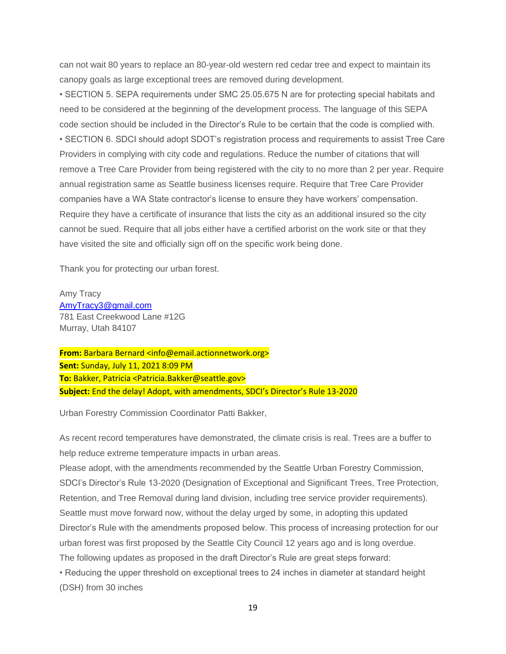can not wait 80 years to replace an 80-year-old western red cedar tree and expect to maintain its canopy goals as large exceptional trees are removed during development.

• SECTION 5. SEPA requirements under SMC 25.05.675 N are for protecting special habitats and need to be considered at the beginning of the development process. The language of this SEPA code section should be included in the Director's Rule to be certain that the code is complied with. • SECTION 6. SDCI should adopt SDOT's registration process and requirements to assist Tree Care Providers in complying with city code and regulations. Reduce the number of citations that will remove a Tree Care Provider from being registered with the city to no more than 2 per year. Require annual registration same as Seattle business licenses require. Require that Tree Care Provider companies have a WA State contractor's license to ensure they have workers' compensation. Require they have a certificate of insurance that lists the city as an additional insured so the city cannot be sued. Require that all jobs either have a certified arborist on the work site or that they have visited the site and officially sign off on the specific work being done.

Thank you for protecting our urban forest.

Amy Tracy [AmyTracy3@gmail.com](mailto:AmyTracy3@gmail.com) 781 East Creekwood Lane #12G Murray, Utah 84107

**From:** Barbara Bernard <info@email.actionnetwork.org> **Sent:** Sunday, July 11, 2021 8:09 PM **To:** Bakker, Patricia <Patricia.Bakker@seattle.gov> **Subject:** End the delay! Adopt, with amendments, SDCI's Director's Rule 13-2020

Urban Forestry Commission Coordinator Patti Bakker,

As recent record temperatures have demonstrated, the climate crisis is real. Trees are a buffer to help reduce extreme temperature impacts in urban areas.

Please adopt, with the amendments recommended by the Seattle Urban Forestry Commission, SDCI's Director's Rule 13-2020 (Designation of Exceptional and Significant Trees, Tree Protection, Retention, and Tree Removal during land division, including tree service provider requirements). Seattle must move forward now, without the delay urged by some, in adopting this updated Director's Rule with the amendments proposed below. This process of increasing protection for our urban forest was first proposed by the Seattle City Council 12 years ago and is long overdue. The following updates as proposed in the draft Director's Rule are great steps forward: • Reducing the upper threshold on exceptional trees to 24 inches in diameter at standard height (DSH) from 30 inches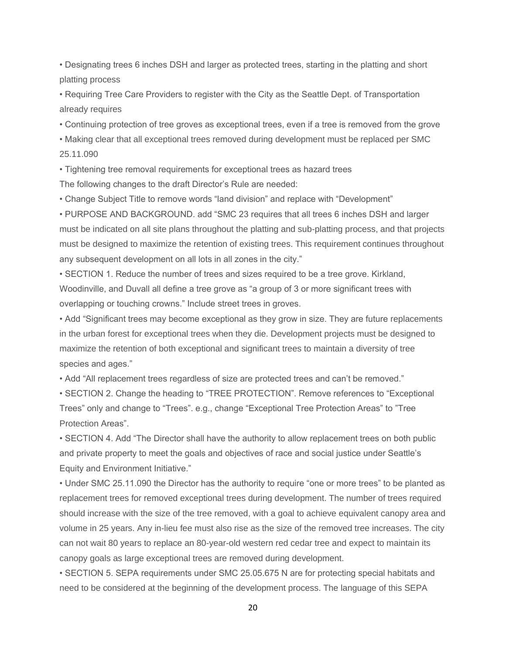• Designating trees 6 inches DSH and larger as protected trees, starting in the platting and short platting process

• Requiring Tree Care Providers to register with the City as the Seattle Dept. of Transportation already requires

• Continuing protection of tree groves as exceptional trees, even if a tree is removed from the grove

• Making clear that all exceptional trees removed during development must be replaced per SMC 25.11.090

• Tightening tree removal requirements for exceptional trees as hazard trees

The following changes to the draft Director's Rule are needed:

• Change Subject Title to remove words "land division" and replace with "Development"

• PURPOSE AND BACKGROUND. add "SMC 23 requires that all trees 6 inches DSH and larger must be indicated on all site plans throughout the platting and sub-platting process, and that projects must be designed to maximize the retention of existing trees. This requirement continues throughout any subsequent development on all lots in all zones in the city."

• SECTION 1. Reduce the number of trees and sizes required to be a tree grove. Kirkland, Woodinville, and Duvall all define a tree grove as "a group of 3 or more significant trees with overlapping or touching crowns." Include street trees in groves.

• Add "Significant trees may become exceptional as they grow in size. They are future replacements in the urban forest for exceptional trees when they die. Development projects must be designed to maximize the retention of both exceptional and significant trees to maintain a diversity of tree species and ages."

• Add "All replacement trees regardless of size are protected trees and can't be removed."

• SECTION 2. Change the heading to "TREE PROTECTION". Remove references to "Exceptional Trees" only and change to "Trees". e.g., change "Exceptional Tree Protection Areas" to "Tree Protection Areas".

• SECTION 4. Add "The Director shall have the authority to allow replacement trees on both public and private property to meet the goals and objectives of race and social justice under Seattle's Equity and Environment Initiative."

• Under SMC 25.11.090 the Director has the authority to require "one or more trees" to be planted as replacement trees for removed exceptional trees during development. The number of trees required should increase with the size of the tree removed, with a goal to achieve equivalent canopy area and volume in 25 years. Any in-lieu fee must also rise as the size of the removed tree increases. The city can not wait 80 years to replace an 80-year-old western red cedar tree and expect to maintain its canopy goals as large exceptional trees are removed during development.

• SECTION 5. SEPA requirements under SMC 25.05.675 N are for protecting special habitats and need to be considered at the beginning of the development process. The language of this SEPA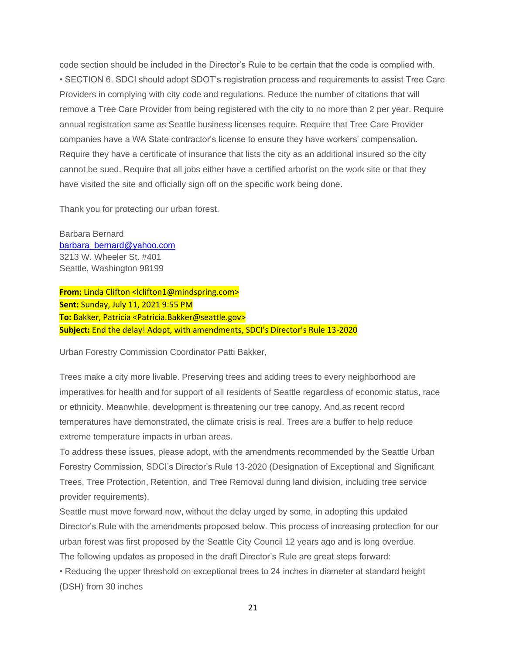code section should be included in the Director's Rule to be certain that the code is complied with. • SECTION 6. SDCI should adopt SDOT's registration process and requirements to assist Tree Care Providers in complying with city code and regulations. Reduce the number of citations that will remove a Tree Care Provider from being registered with the city to no more than 2 per year. Require annual registration same as Seattle business licenses require. Require that Tree Care Provider companies have a WA State contractor's license to ensure they have workers' compensation. Require they have a certificate of insurance that lists the city as an additional insured so the city cannot be sued. Require that all jobs either have a certified arborist on the work site or that they have visited the site and officially sign off on the specific work being done.

Thank you for protecting our urban forest.

Barbara Bernard [barbara\\_bernard@yahoo.com](mailto:barbara_bernard@yahoo.com) 3213 W. Wheeler St. #401 Seattle, Washington 98199

**From:** Linda Clifton <lclifton1@mindspring.com> **Sent:** Sunday, July 11, 2021 9:55 PM **To:** Bakker, Patricia <Patricia.Bakker@seattle.gov> **Subject:** End the delay! Adopt, with amendments, SDCI's Director's Rule 13-2020

Urban Forestry Commission Coordinator Patti Bakker,

Trees make a city more livable. Preserving trees and adding trees to every neighborhood are imperatives for health and for support of all residents of Seattle regardless of economic status, race or ethnicity. Meanwhile, development is threatening our tree canopy. And,as recent record temperatures have demonstrated, the climate crisis is real. Trees are a buffer to help reduce extreme temperature impacts in urban areas.

To address these issues, please adopt, with the amendments recommended by the Seattle Urban Forestry Commission, SDCI's Director's Rule 13-2020 (Designation of Exceptional and Significant Trees, Tree Protection, Retention, and Tree Removal during land division, including tree service provider requirements).

Seattle must move forward now, without the delay urged by some, in adopting this updated Director's Rule with the amendments proposed below. This process of increasing protection for our urban forest was first proposed by the Seattle City Council 12 years ago and is long overdue.

The following updates as proposed in the draft Director's Rule are great steps forward:

• Reducing the upper threshold on exceptional trees to 24 inches in diameter at standard height (DSH) from 30 inches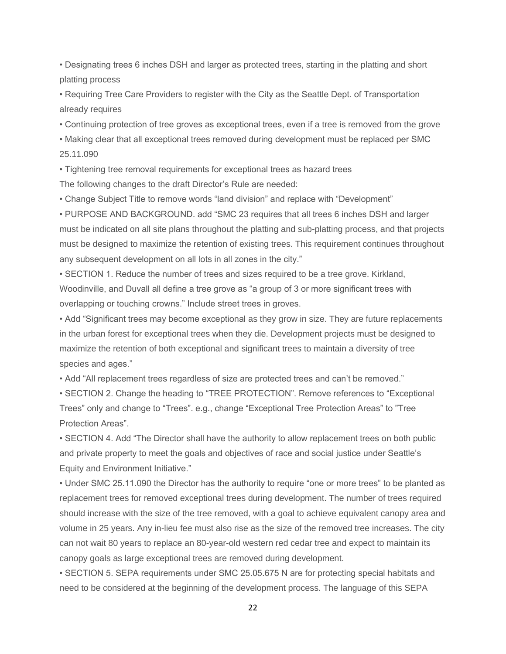• Designating trees 6 inches DSH and larger as protected trees, starting in the platting and short platting process

• Requiring Tree Care Providers to register with the City as the Seattle Dept. of Transportation already requires

• Continuing protection of tree groves as exceptional trees, even if a tree is removed from the grove

• Making clear that all exceptional trees removed during development must be replaced per SMC 25.11.090

• Tightening tree removal requirements for exceptional trees as hazard trees

The following changes to the draft Director's Rule are needed:

• Change Subject Title to remove words "land division" and replace with "Development"

• PURPOSE AND BACKGROUND. add "SMC 23 requires that all trees 6 inches DSH and larger must be indicated on all site plans throughout the platting and sub-platting process, and that projects must be designed to maximize the retention of existing trees. This requirement continues throughout any subsequent development on all lots in all zones in the city."

• SECTION 1. Reduce the number of trees and sizes required to be a tree grove. Kirkland, Woodinville, and Duvall all define a tree grove as "a group of 3 or more significant trees with overlapping or touching crowns." Include street trees in groves.

• Add "Significant trees may become exceptional as they grow in size. They are future replacements in the urban forest for exceptional trees when they die. Development projects must be designed to maximize the retention of both exceptional and significant trees to maintain a diversity of tree species and ages."

• Add "All replacement trees regardless of size are protected trees and can't be removed."

• SECTION 2. Change the heading to "TREE PROTECTION". Remove references to "Exceptional Trees" only and change to "Trees". e.g., change "Exceptional Tree Protection Areas" to "Tree Protection Areas".

• SECTION 4. Add "The Director shall have the authority to allow replacement trees on both public and private property to meet the goals and objectives of race and social justice under Seattle's Equity and Environment Initiative."

• Under SMC 25.11.090 the Director has the authority to require "one or more trees" to be planted as replacement trees for removed exceptional trees during development. The number of trees required should increase with the size of the tree removed, with a goal to achieve equivalent canopy area and volume in 25 years. Any in-lieu fee must also rise as the size of the removed tree increases. The city can not wait 80 years to replace an 80-year-old western red cedar tree and expect to maintain its canopy goals as large exceptional trees are removed during development.

• SECTION 5. SEPA requirements under SMC 25.05.675 N are for protecting special habitats and need to be considered at the beginning of the development process. The language of this SEPA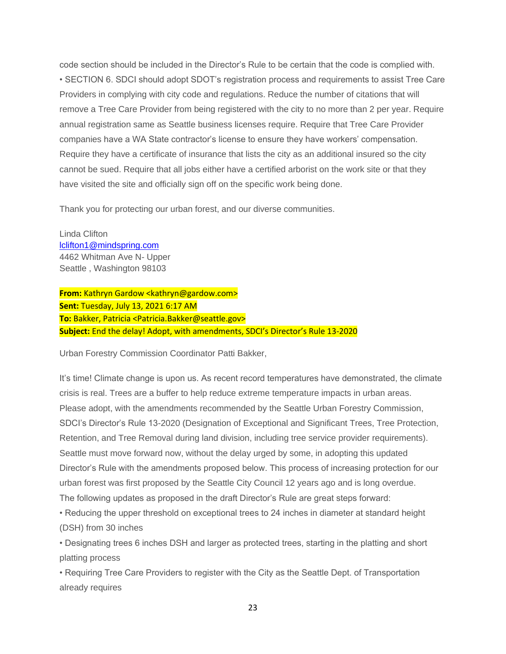code section should be included in the Director's Rule to be certain that the code is complied with. • SECTION 6. SDCI should adopt SDOT's registration process and requirements to assist Tree Care Providers in complying with city code and regulations. Reduce the number of citations that will remove a Tree Care Provider from being registered with the city to no more than 2 per year. Require annual registration same as Seattle business licenses require. Require that Tree Care Provider companies have a WA State contractor's license to ensure they have workers' compensation. Require they have a certificate of insurance that lists the city as an additional insured so the city cannot be sued. Require that all jobs either have a certified arborist on the work site or that they have visited the site and officially sign off on the specific work being done.

Thank you for protecting our urban forest, and our diverse communities.

Linda Clifton [lclifton1@mindspring.com](mailto:lclifton1@mindspring.com) 4462 Whitman Ave N- Upper Seattle , Washington 98103

**From:** Kathryn Gardow <kathryn@gardow.com> **Sent:** Tuesday, July 13, 2021 6:17 AM **To:** Bakker, Patricia <Patricia.Bakker@seattle.gov> **Subject:** End the delay! Adopt, with amendments, SDCI's Director's Rule 13-2020

Urban Forestry Commission Coordinator Patti Bakker,

It's time! Climate change is upon us. As recent record temperatures have demonstrated, the climate crisis is real. Trees are a buffer to help reduce extreme temperature impacts in urban areas. Please adopt, with the amendments recommended by the Seattle Urban Forestry Commission, SDCI's Director's Rule 13-2020 (Designation of Exceptional and Significant Trees, Tree Protection, Retention, and Tree Removal during land division, including tree service provider requirements). Seattle must move forward now, without the delay urged by some, in adopting this updated Director's Rule with the amendments proposed below. This process of increasing protection for our urban forest was first proposed by the Seattle City Council 12 years ago and is long overdue. The following updates as proposed in the draft Director's Rule are great steps forward:

• Reducing the upper threshold on exceptional trees to 24 inches in diameter at standard height (DSH) from 30 inches

• Designating trees 6 inches DSH and larger as protected trees, starting in the platting and short platting process

• Requiring Tree Care Providers to register with the City as the Seattle Dept. of Transportation already requires

23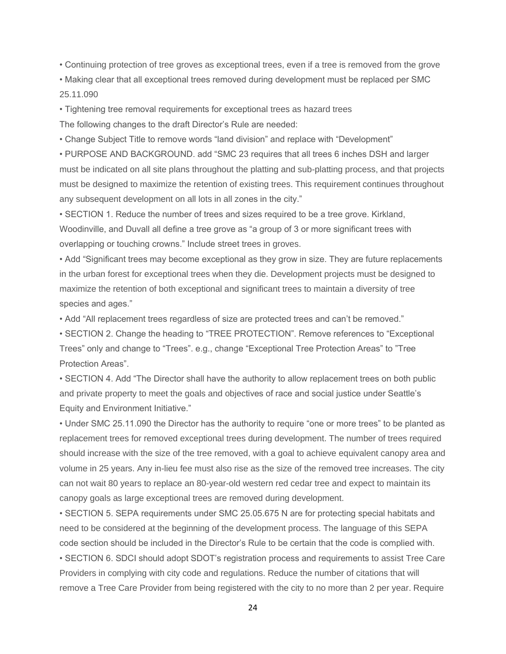• Continuing protection of tree groves as exceptional trees, even if a tree is removed from the grove

• Making clear that all exceptional trees removed during development must be replaced per SMC 25.11.090

• Tightening tree removal requirements for exceptional trees as hazard trees The following changes to the draft Director's Rule are needed:

• Change Subject Title to remove words "land division" and replace with "Development"

• PURPOSE AND BACKGROUND. add "SMC 23 requires that all trees 6 inches DSH and larger must be indicated on all site plans throughout the platting and sub-platting process, and that projects must be designed to maximize the retention of existing trees. This requirement continues throughout any subsequent development on all lots in all zones in the city."

• SECTION 1. Reduce the number of trees and sizes required to be a tree grove. Kirkland, Woodinville, and Duvall all define a tree grove as "a group of 3 or more significant trees with overlapping or touching crowns." Include street trees in groves.

• Add "Significant trees may become exceptional as they grow in size. They are future replacements in the urban forest for exceptional trees when they die. Development projects must be designed to maximize the retention of both exceptional and significant trees to maintain a diversity of tree species and ages."

• Add "All replacement trees regardless of size are protected trees and can't be removed."

• SECTION 2. Change the heading to "TREE PROTECTION". Remove references to "Exceptional Trees" only and change to "Trees". e.g., change "Exceptional Tree Protection Areas" to "Tree Protection Areas".

• SECTION 4. Add "The Director shall have the authority to allow replacement trees on both public and private property to meet the goals and objectives of race and social justice under Seattle's Equity and Environment Initiative."

• Under SMC 25.11.090 the Director has the authority to require "one or more trees" to be planted as replacement trees for removed exceptional trees during development. The number of trees required should increase with the size of the tree removed, with a goal to achieve equivalent canopy area and volume in 25 years. Any in-lieu fee must also rise as the size of the removed tree increases. The city can not wait 80 years to replace an 80-year-old western red cedar tree and expect to maintain its canopy goals as large exceptional trees are removed during development.

• SECTION 5. SEPA requirements under SMC 25.05.675 N are for protecting special habitats and need to be considered at the beginning of the development process. The language of this SEPA code section should be included in the Director's Rule to be certain that the code is complied with. • SECTION 6. SDCI should adopt SDOT's registration process and requirements to assist Tree Care Providers in complying with city code and regulations. Reduce the number of citations that will remove a Tree Care Provider from being registered with the city to no more than 2 per year. Require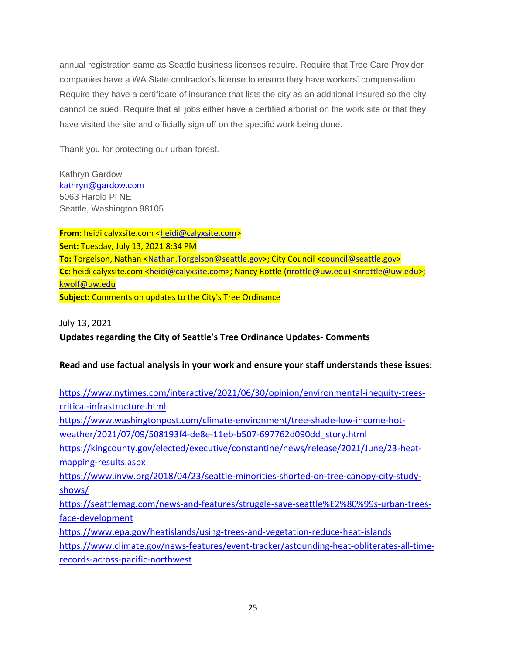annual registration same as Seattle business licenses require. Require that Tree Care Provider companies have a WA State contractor's license to ensure they have workers' compensation. Require they have a certificate of insurance that lists the city as an additional insured so the city cannot be sued. Require that all jobs either have a certified arborist on the work site or that they have visited the site and officially sign off on the specific work being done.

Thank you for protecting our urban forest.

Kathryn Gardow [kathryn@gardow.com](mailto:kathryn@gardow.com) 5063 Harold Pl NE Seattle, Washington 98105

**From:** heidi calyxsite.com [<heidi@calyxsite.com>](mailto:heidi@calyxsite.com) **Sent:** Tuesday, July 13, 2021 8:34 PM To: Torgelson, Nathan [<Nathan.Torgelson@seattle.gov>](mailto:Nathan.Torgelson@seattle.gov); City Council [<council@seattle.gov>](mailto:council@seattle.gov) Cc: heidi calyxsite.com [<heidi@calyxsite.com>](mailto:heidi@calyxsite.com); Nancy Rottle [\(nrottle@uw.edu\)](mailto:nrottle@uw.edu) [<nrottle@uw.edu>](mailto:nrottle@uw.edu); [kwolf@uw.edu](mailto:kwolf@uw.edu) **Subject:** Comments on updates to the City's Tree Ordinance

July 13, 2021

**Updates regarding the City of Seattle's Tree Ordinance Updates- Comments**

## **Read and use factual analysis in your work and ensure your staff understands these issues:**

| https://www.nytimes.com/interactive/2021/06/30/opinion/environmental-inequity-trees-      |
|-------------------------------------------------------------------------------------------|
| critical-infrastructure.html                                                              |
| https://www.washingtonpost.com/climate-environment/tree-shade-low-income-hot-             |
| weather/2021/07/09/508193f4-de8e-11eb-b507-697762d090dd story.html                        |
| https://kingcounty.gov/elected/executive/constantine/news/release/2021/June/23-heat-      |
| mapping-results.aspx                                                                      |
| https://www.invw.org/2018/04/23/seattle-minorities-shorted-on-tree-canopy-city-study-     |
| shows/                                                                                    |
| https://seattlemag.com/news-and-features/struggle-save-seattle%E2%80%99s-urban-trees-     |
| face-development                                                                          |
| https://www.epa.gov/heatislands/using-trees-and-vegetation-reduce-heat-islands            |
| https://www.climate.gov/news-features/event-tracker/astounding-heat-obliterates-all-time- |
| records-across-pacific-northwest                                                          |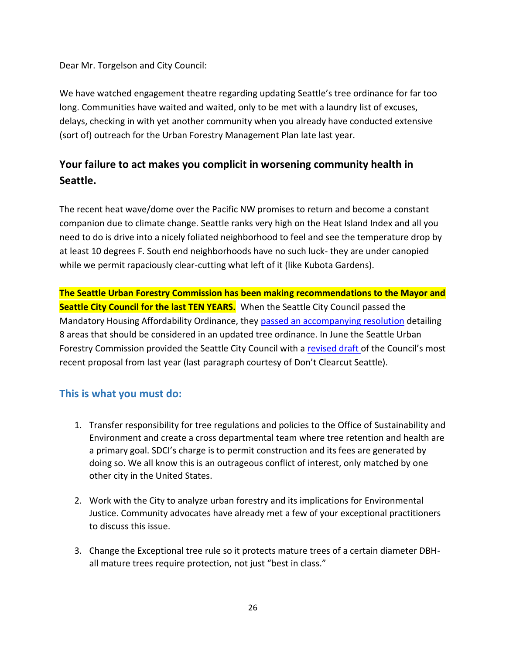Dear Mr. Torgelson and City Council:

We have watched engagement theatre regarding updating Seattle's tree ordinance for far too long. Communities have waited and waited, only to be met with a laundry list of excuses, delays, checking in with yet another community when you already have conducted extensive (sort of) outreach for the Urban Forestry Management Plan late last year.

# **Your failure to act makes you complicit in worsening community health in Seattle.**

The recent heat wave/dome over the Pacific NW promises to return and become a constant companion due to climate change. Seattle ranks very high on the Heat Island Index and all you need to do is drive into a nicely foliated neighborhood to feel and see the temperature drop by at least 10 degrees F. South end neighborhoods have no such luck- they are under canopied while we permit rapaciously clear-cutting what left of it (like Kubota Gardens).

**The Seattle Urban Forestry Commission has been making recommendations to the Mayor and Seattle City Council for the last TEN YEARS.** When the Seattle City Council passed the Mandatory Housing Affordability Ordinance, they [passed an accompanying resolution](https://protect2.fireeye.com/v1/url?k=425a1ff5-1dc126db-425a3745-86c89b3c9da5-470e8ec9e809a85e&q=1&e=b81c773e-8ca7-4ebc-8824-000e1e16e919&u=https%3A%2F%2Ffriends.urbanforests.org%2F2019%2F04%2F13%2Fseattle-city-council-mha-resolution-section-on-trees%2F) detailing 8 areas that should be considered in an updated tree ordinance. In June the Seattle Urban Forestry Commission provided the Seattle City Council with a [revised draft](https://protect2.fireeye.com/v1/url?k=6c9199c7-330aa0e9-6c91b177-86c89b3c9da5-ad29f3299fd40f44&q=1&e=b81c773e-8ca7-4ebc-8824-000e1e16e919&u=https%3A%2F%2Fwww.dontclearcutseattle.org%2F%23popmake-1005) of the Council's most recent proposal from last year (last paragraph courtesy of Don't Clearcut Seattle).

# **This is what you must do:**

- 1. Transfer responsibility for tree regulations and policies to the Office of Sustainability and Environment and create a cross departmental team where tree retention and health are a primary goal. SDCI's charge is to permit construction and its fees are generated by doing so. We all know this is an outrageous conflict of interest, only matched by one other city in the United States.
- 2. Work with the City to analyze urban forestry and its implications for Environmental Justice. Community advocates have already met a few of your exceptional practitioners to discuss this issue.
- 3. Change the Exceptional tree rule so it protects mature trees of a certain diameter DBHall mature trees require protection, not just "best in class."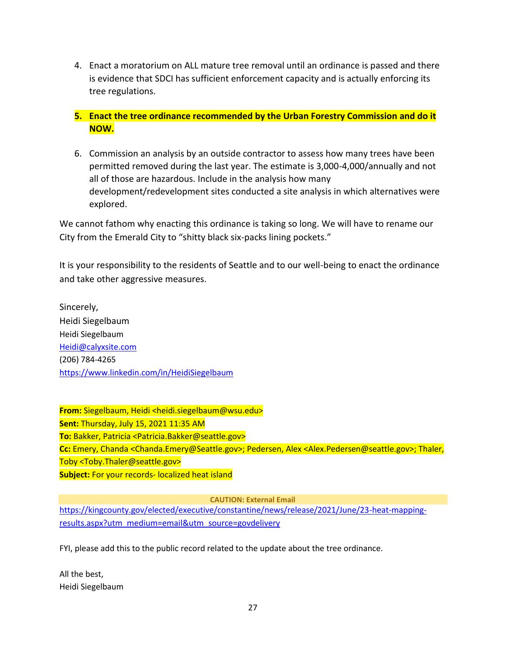- 4. Enact a moratorium on ALL mature tree removal until an ordinance is passed and there is evidence that SDCI has sufficient enforcement capacity and is actually enforcing its tree regulations.
- **5. Enact the tree ordinance recommended by the Urban Forestry Commission and do it NOW.**
- 6. Commission an analysis by an outside contractor to assess how many trees have been permitted removed during the last year. The estimate is 3,000-4,000/annually and not all of those are hazardous. Include in the analysis how many development/redevelopment sites conducted a site analysis in which alternatives were explored.

We cannot fathom why enacting this ordinance is taking so long. We will have to rename our City from the Emerald City to "shitty black six-packs lining pockets."

It is your responsibility to the residents of Seattle and to our well-being to enact the ordinance and take other aggressive measures.

Sincerely, Heidi Siegelbaum Heidi Siegelbaum [Heidi@calyxsite.com](mailto:Heidi@calyxsite.com) (206) 784-4265 <https://www.linkedin.com/in/HeidiSiegelbaum>

**From:** Siegelbaum, Heidi <heidi.siegelbaum@wsu.edu> **Sent:** Thursday, July 15, 2021 11:35 AM **To:** Bakker, Patricia <Patricia.Bakker@seattle.gov> **Cc:** Emery, Chanda <Chanda.Emery@Seattle.gov>; Pedersen, Alex <Alex.Pedersen@seattle.gov>; Thaler, Toby <Toby.Thaler@seattle.gov> **Subject:** For your records- localized heat island

**CAUTION: External Email**

[https://kingcounty.gov/elected/executive/constantine/news/release/2021/June/23-heat-mapping](https://kingcounty.gov/elected/executive/constantine/news/release/2021/June/23-heat-mapping-results.aspx?utm_medium=email&utm_source=govdelivery)[results.aspx?utm\\_medium=email&utm\\_source=govdelivery](https://kingcounty.gov/elected/executive/constantine/news/release/2021/June/23-heat-mapping-results.aspx?utm_medium=email&utm_source=govdelivery)

FYI, please add this to the public record related to the update about the tree ordinance.

All the best, Heidi Siegelbaum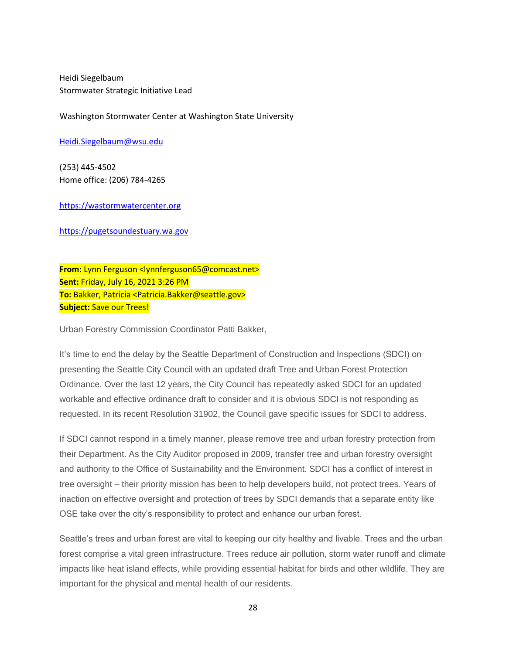Heidi Siegelbaum Stormwater Strategic Initiative Lead

Washington Stormwater Center at Washington State University

[Heidi.Siegelbaum@wsu.edu](mailto:Heidi.Siegelbaum@wsu.edu)

(253) 445-4502 Home office: (206) 784-4265

[https://wastormwatercenter.org](https://protect2.fireeye.com/v1/url?k=ac3c8a1c-f3a7b314-ac3ca2ac-86e696e30194-6eb06482aa3164a8&q=1&e=b49aa4c9-3ac1-4f61-a921-400a9a0b72fc&u=https%3A%2F%2Fwastormwatercenter.org%2F)

[https://pugetsoundestuary.wa.gov](https://pugetsoundestuary.wa.gov/)

**From:** Lynn Ferguson <lynnferguson65@comcast.net> **Sent:** Friday, July 16, 2021 3:26 PM **To:** Bakker, Patricia <Patricia.Bakker@seattle.gov> **Subject:** Save our Trees!

Urban Forestry Commission Coordinator Patti Bakker,

It's time to end the delay by the Seattle Department of Construction and Inspections (SDCI) on presenting the Seattle City Council with an updated draft Tree and Urban Forest Protection Ordinance. Over the last 12 years, the City Council has repeatedly asked SDCI for an updated workable and effective ordinance draft to consider and it is obvious SDCI is not responding as requested. In its recent Resolution 31902, the Council gave specific issues for SDCI to address.

If SDCI cannot respond in a timely manner, please remove tree and urban forestry protection from their Department. As the City Auditor proposed in 2009, transfer tree and urban forestry oversight and authority to the Office of Sustainability and the Environment. SDCI has a conflict of interest in tree oversight – their priority mission has been to help developers build, not protect trees. Years of inaction on effective oversight and protection of trees by SDCI demands that a separate entity like OSE take over the city's responsibility to protect and enhance our urban forest.

Seattle's trees and urban forest are vital to keeping our city healthy and livable. Trees and the urban forest comprise a vital green infrastructure. Trees reduce air pollution, storm water runoff and climate impacts like heat island effects, while providing essential habitat for birds and other wildlife. They are important for the physical and mental health of our residents.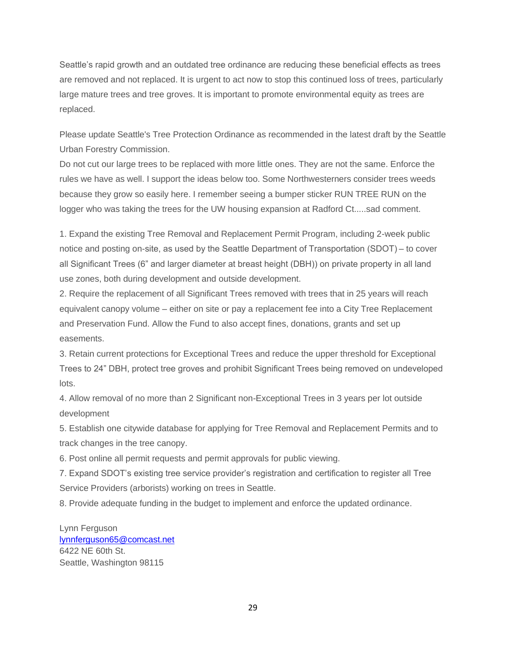Seattle's rapid growth and an outdated tree ordinance are reducing these beneficial effects as trees are removed and not replaced. It is urgent to act now to stop this continued loss of trees, particularly large mature trees and tree groves. It is important to promote environmental equity as trees are replaced.

Please update Seattle's Tree Protection Ordinance as recommended in the latest draft by the Seattle Urban Forestry Commission.

Do not cut our large trees to be replaced with more little ones. They are not the same. Enforce the rules we have as well. I support the ideas below too. Some Northwesterners consider trees weeds because they grow so easily here. I remember seeing a bumper sticker RUN TREE RUN on the logger who was taking the trees for the UW housing expansion at Radford Ct.....sad comment.

1. Expand the existing Tree Removal and Replacement Permit Program, including 2-week public notice and posting on-site, as used by the Seattle Department of Transportation (SDOT) – to cover all Significant Trees (6" and larger diameter at breast height (DBH)) on private property in all land use zones, both during development and outside development.

2. Require the replacement of all Significant Trees removed with trees that in 25 years will reach equivalent canopy volume – either on site or pay a replacement fee into a City Tree Replacement and Preservation Fund. Allow the Fund to also accept fines, donations, grants and set up easements.

3. Retain current protections for Exceptional Trees and reduce the upper threshold for Exceptional Trees to 24" DBH, protect tree groves and prohibit Significant Trees being removed on undeveloped lots.

4. Allow removal of no more than 2 Significant non-Exceptional Trees in 3 years per lot outside development

5. Establish one citywide database for applying for Tree Removal and Replacement Permits and to track changes in the tree canopy.

6. Post online all permit requests and permit approvals for public viewing.

7. Expand SDOT's existing tree service provider's registration and certification to register all Tree Service Providers (arborists) working on trees in Seattle.

8. Provide adequate funding in the budget to implement and enforce the updated ordinance.

Lynn Ferguson [lynnferguson65@comcast.net](mailto:lynnferguson65@comcast.net) 6422 NE 60th St. Seattle, Washington 98115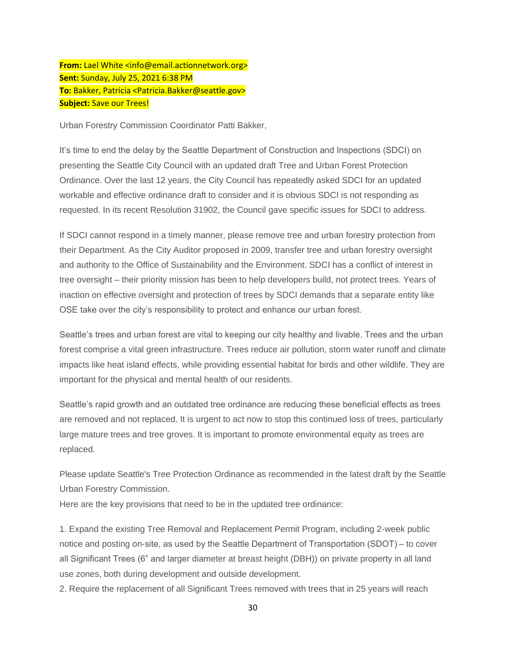**From:** Lael White <info@email.actionnetwork.org> **Sent:** Sunday, July 25, 2021 6:38 PM **To:** Bakker, Patricia <Patricia.Bakker@seattle.gov> **Subject:** Save our Trees!

Urban Forestry Commission Coordinator Patti Bakker,

It's time to end the delay by the Seattle Department of Construction and Inspections (SDCI) on presenting the Seattle City Council with an updated draft Tree and Urban Forest Protection Ordinance. Over the last 12 years, the City Council has repeatedly asked SDCI for an updated workable and effective ordinance draft to consider and it is obvious SDCI is not responding as requested. In its recent Resolution 31902, the Council gave specific issues for SDCI to address.

If SDCI cannot respond in a timely manner, please remove tree and urban forestry protection from their Department. As the City Auditor proposed in 2009, transfer tree and urban forestry oversight and authority to the Office of Sustainability and the Environment. SDCI has a conflict of interest in tree oversight – their priority mission has been to help developers build, not protect trees. Years of inaction on effective oversight and protection of trees by SDCI demands that a separate entity like OSE take over the city's responsibility to protect and enhance our urban forest.

Seattle's trees and urban forest are vital to keeping our city healthy and livable. Trees and the urban forest comprise a vital green infrastructure. Trees reduce air pollution, storm water runoff and climate impacts like heat island effects, while providing essential habitat for birds and other wildlife. They are important for the physical and mental health of our residents.

Seattle's rapid growth and an outdated tree ordinance are reducing these beneficial effects as trees are removed and not replaced. It is urgent to act now to stop this continued loss of trees, particularly large mature trees and tree groves. It is important to promote environmental equity as trees are replaced.

Please update Seattle's Tree Protection Ordinance as recommended in the latest draft by the Seattle Urban Forestry Commission.

Here are the key provisions that need to be in the updated tree ordinance:

1. Expand the existing Tree Removal and Replacement Permit Program, including 2-week public notice and posting on-site, as used by the Seattle Department of Transportation (SDOT) – to cover all Significant Trees (6" and larger diameter at breast height (DBH)) on private property in all land use zones, both during development and outside development.

2. Require the replacement of all Significant Trees removed with trees that in 25 years will reach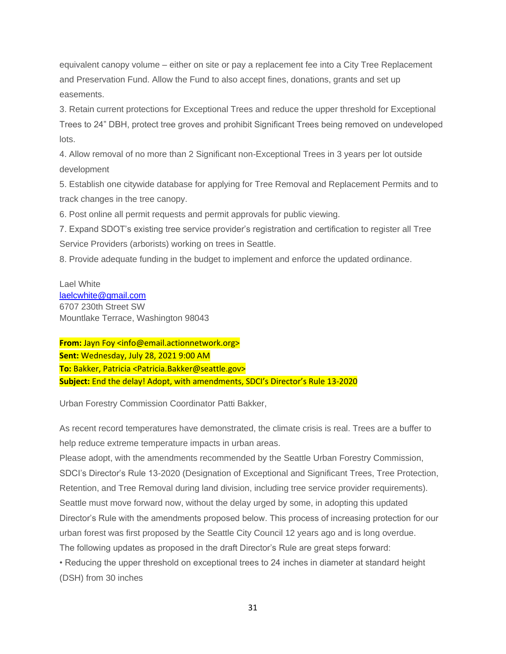equivalent canopy volume – either on site or pay a replacement fee into a City Tree Replacement and Preservation Fund. Allow the Fund to also accept fines, donations, grants and set up easements.

3. Retain current protections for Exceptional Trees and reduce the upper threshold for Exceptional Trees to 24" DBH, protect tree groves and prohibit Significant Trees being removed on undeveloped lots.

4. Allow removal of no more than 2 Significant non-Exceptional Trees in 3 years per lot outside development

5. Establish one citywide database for applying for Tree Removal and Replacement Permits and to track changes in the tree canopy.

6. Post online all permit requests and permit approvals for public viewing.

7. Expand SDOT's existing tree service provider's registration and certification to register all Tree Service Providers (arborists) working on trees in Seattle.

8. Provide adequate funding in the budget to implement and enforce the updated ordinance.

Lael White [laelcwhite@gmail.com](mailto:laelcwhite@gmail.com) 6707 230th Street SW Mountlake Terrace, Washington 98043

**From:** Jayn Foy <info@email.actionnetwork.org> **Sent:** Wednesday, July 28, 2021 9:00 AM **To:** Bakker, Patricia <Patricia.Bakker@seattle.gov> **Subject:** End the delay! Adopt, with amendments, SDCI's Director's Rule 13-2020

Urban Forestry Commission Coordinator Patti Bakker,

As recent record temperatures have demonstrated, the climate crisis is real. Trees are a buffer to help reduce extreme temperature impacts in urban areas.

Please adopt, with the amendments recommended by the Seattle Urban Forestry Commission, SDCI's Director's Rule 13-2020 (Designation of Exceptional and Significant Trees, Tree Protection, Retention, and Tree Removal during land division, including tree service provider requirements). Seattle must move forward now, without the delay urged by some, in adopting this updated Director's Rule with the amendments proposed below. This process of increasing protection for our urban forest was first proposed by the Seattle City Council 12 years ago and is long overdue. The following updates as proposed in the draft Director's Rule are great steps forward:

• Reducing the upper threshold on exceptional trees to 24 inches in diameter at standard height (DSH) from 30 inches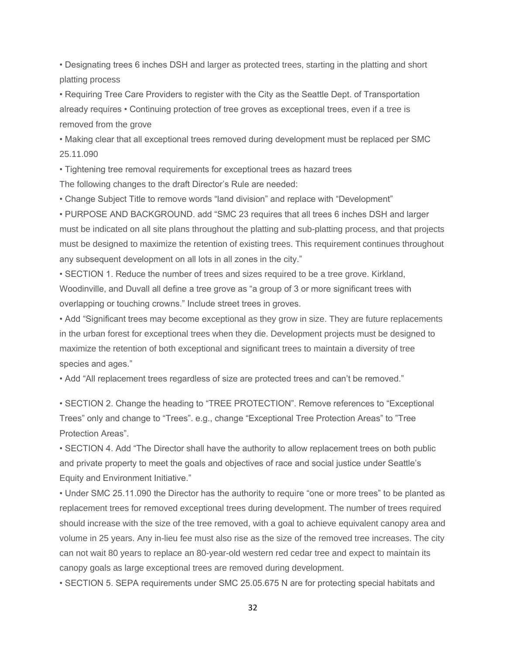• Designating trees 6 inches DSH and larger as protected trees, starting in the platting and short platting process

• Requiring Tree Care Providers to register with the City as the Seattle Dept. of Transportation already requires • Continuing protection of tree groves as exceptional trees, even if a tree is removed from the grove

• Making clear that all exceptional trees removed during development must be replaced per SMC 25.11.090

• Tightening tree removal requirements for exceptional trees as hazard trees

The following changes to the draft Director's Rule are needed:

• Change Subject Title to remove words "land division" and replace with "Development"

• PURPOSE AND BACKGROUND. add "SMC 23 requires that all trees 6 inches DSH and larger must be indicated on all site plans throughout the platting and sub-platting process, and that projects must be designed to maximize the retention of existing trees. This requirement continues throughout any subsequent development on all lots in all zones in the city."

• SECTION 1. Reduce the number of trees and sizes required to be a tree grove. Kirkland, Woodinville, and Duvall all define a tree grove as "a group of 3 or more significant trees with overlapping or touching crowns." Include street trees in groves.

• Add "Significant trees may become exceptional as they grow in size. They are future replacements in the urban forest for exceptional trees when they die. Development projects must be designed to maximize the retention of both exceptional and significant trees to maintain a diversity of tree species and ages."

• Add "All replacement trees regardless of size are protected trees and can't be removed."

• SECTION 2. Change the heading to "TREE PROTECTION". Remove references to "Exceptional Trees" only and change to "Trees". e.g., change "Exceptional Tree Protection Areas" to "Tree Protection Areas".

• SECTION 4. Add "The Director shall have the authority to allow replacement trees on both public and private property to meet the goals and objectives of race and social justice under Seattle's Equity and Environment Initiative."

• Under SMC 25.11.090 the Director has the authority to require "one or more trees" to be planted as replacement trees for removed exceptional trees during development. The number of trees required should increase with the size of the tree removed, with a goal to achieve equivalent canopy area and volume in 25 years. Any in-lieu fee must also rise as the size of the removed tree increases. The city can not wait 80 years to replace an 80-year-old western red cedar tree and expect to maintain its canopy goals as large exceptional trees are removed during development.

• SECTION 5. SEPA requirements under SMC 25.05.675 N are for protecting special habitats and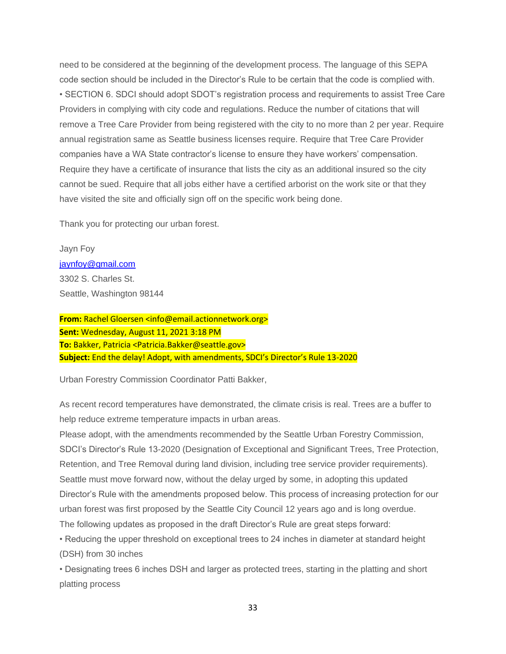need to be considered at the beginning of the development process. The language of this SEPA code section should be included in the Director's Rule to be certain that the code is complied with. • SECTION 6. SDCI should adopt SDOT's registration process and requirements to assist Tree Care Providers in complying with city code and regulations. Reduce the number of citations that will remove a Tree Care Provider from being registered with the city to no more than 2 per year. Require annual registration same as Seattle business licenses require. Require that Tree Care Provider companies have a WA State contractor's license to ensure they have workers' compensation. Require they have a certificate of insurance that lists the city as an additional insured so the city cannot be sued. Require that all jobs either have a certified arborist on the work site or that they have visited the site and officially sign off on the specific work being done.

Thank you for protecting our urban forest.

Jayn Foy [jaynfoy@gmail.com](mailto:jaynfoy@gmail.com) 3302 S. Charles St. Seattle, Washington 98144

**From:** Rachel Gloersen <info@email.actionnetwork.org> **Sent:** Wednesday, August 11, 2021 3:18 PM **To:** Bakker, Patricia <Patricia.Bakker@seattle.gov> **Subject:** End the delay! Adopt, with amendments, SDCI's Director's Rule 13-2020

Urban Forestry Commission Coordinator Patti Bakker,

As recent record temperatures have demonstrated, the climate crisis is real. Trees are a buffer to help reduce extreme temperature impacts in urban areas.

Please adopt, with the amendments recommended by the Seattle Urban Forestry Commission, SDCI's Director's Rule 13-2020 (Designation of Exceptional and Significant Trees, Tree Protection, Retention, and Tree Removal during land division, including tree service provider requirements). Seattle must move forward now, without the delay urged by some, in adopting this updated Director's Rule with the amendments proposed below. This process of increasing protection for our urban forest was first proposed by the Seattle City Council 12 years ago and is long overdue. The following updates as proposed in the draft Director's Rule are great steps forward:

• Reducing the upper threshold on exceptional trees to 24 inches in diameter at standard height (DSH) from 30 inches

• Designating trees 6 inches DSH and larger as protected trees, starting in the platting and short platting process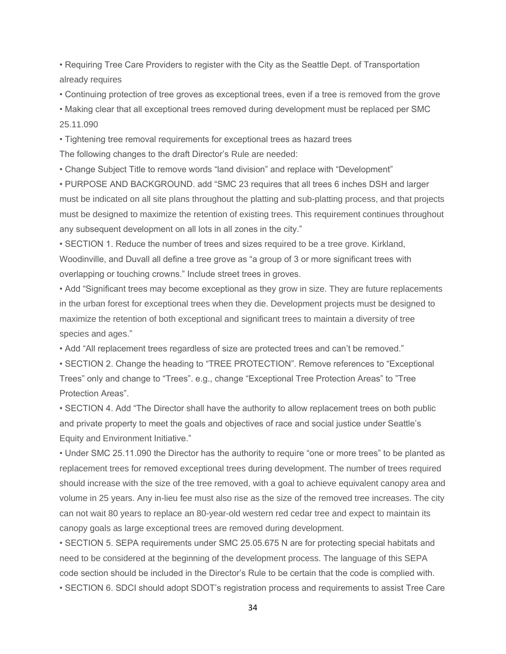• Requiring Tree Care Providers to register with the City as the Seattle Dept. of Transportation already requires

• Continuing protection of tree groves as exceptional trees, even if a tree is removed from the grove

• Making clear that all exceptional trees removed during development must be replaced per SMC 25.11.090

• Tightening tree removal requirements for exceptional trees as hazard trees The following changes to the draft Director's Rule are needed:

• Change Subject Title to remove words "land division" and replace with "Development"

• PURPOSE AND BACKGROUND. add "SMC 23 requires that all trees 6 inches DSH and larger must be indicated on all site plans throughout the platting and sub-platting process, and that projects must be designed to maximize the retention of existing trees. This requirement continues throughout any subsequent development on all lots in all zones in the city."

• SECTION 1. Reduce the number of trees and sizes required to be a tree grove. Kirkland, Woodinville, and Duvall all define a tree grove as "a group of 3 or more significant trees with overlapping or touching crowns." Include street trees in groves.

• Add "Significant trees may become exceptional as they grow in size. They are future replacements in the urban forest for exceptional trees when they die. Development projects must be designed to maximize the retention of both exceptional and significant trees to maintain a diversity of tree species and ages."

• Add "All replacement trees regardless of size are protected trees and can't be removed."

• SECTION 2. Change the heading to "TREE PROTECTION". Remove references to "Exceptional Trees" only and change to "Trees". e.g., change "Exceptional Tree Protection Areas" to "Tree Protection Areas".

• SECTION 4. Add "The Director shall have the authority to allow replacement trees on both public and private property to meet the goals and objectives of race and social justice under Seattle's Equity and Environment Initiative."

• Under SMC 25.11.090 the Director has the authority to require "one or more trees" to be planted as replacement trees for removed exceptional trees during development. The number of trees required should increase with the size of the tree removed, with a goal to achieve equivalent canopy area and volume in 25 years. Any in-lieu fee must also rise as the size of the removed tree increases. The city can not wait 80 years to replace an 80-year-old western red cedar tree and expect to maintain its canopy goals as large exceptional trees are removed during development.

• SECTION 5. SEPA requirements under SMC 25.05.675 N are for protecting special habitats and need to be considered at the beginning of the development process. The language of this SEPA code section should be included in the Director's Rule to be certain that the code is complied with. • SECTION 6. SDCI should adopt SDOT's registration process and requirements to assist Tree Care

34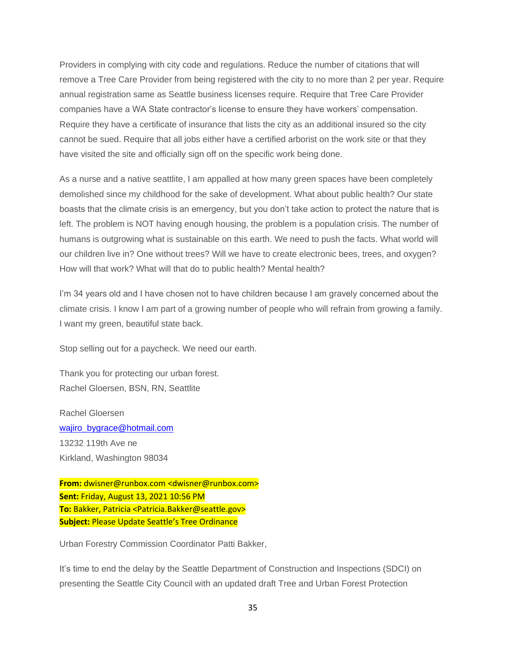Providers in complying with city code and regulations. Reduce the number of citations that will remove a Tree Care Provider from being registered with the city to no more than 2 per year. Require annual registration same as Seattle business licenses require. Require that Tree Care Provider companies have a WA State contractor's license to ensure they have workers' compensation. Require they have a certificate of insurance that lists the city as an additional insured so the city cannot be sued. Require that all jobs either have a certified arborist on the work site or that they have visited the site and officially sign off on the specific work being done.

As a nurse and a native seattlite, I am appalled at how many green spaces have been completely demolished since my childhood for the sake of development. What about public health? Our state boasts that the climate crisis is an emergency, but you don't take action to protect the nature that is left. The problem is NOT having enough housing, the problem is a population crisis. The number of humans is outgrowing what is sustainable on this earth. We need to push the facts. What world will our children live in? One without trees? Will we have to create electronic bees, trees, and oxygen? How will that work? What will that do to public health? Mental health?

I'm 34 years old and I have chosen not to have children because I am gravely concerned about the climate crisis. I know I am part of a growing number of people who will refrain from growing a family. I want my green, beautiful state back.

Stop selling out for a paycheck. We need our earth.

Thank you for protecting our urban forest. Rachel Gloersen, BSN, RN, Seattlite

Rachel Gloersen [wajiro\\_bygrace@hotmail.com](mailto:wajiro_bygrace@hotmail.com) 13232 119th Ave ne Kirkland, Washington 98034

**From:** dwisner@runbox.com <dwisner@runbox.com> **Sent:** Friday, August 13, 2021 10:56 PM **To:** Bakker, Patricia <Patricia.Bakker@seattle.gov> **Subject:** Please Update Seattle's Tree Ordinance

Urban Forestry Commission Coordinator Patti Bakker,

It's time to end the delay by the Seattle Department of Construction and Inspections (SDCI) on presenting the Seattle City Council with an updated draft Tree and Urban Forest Protection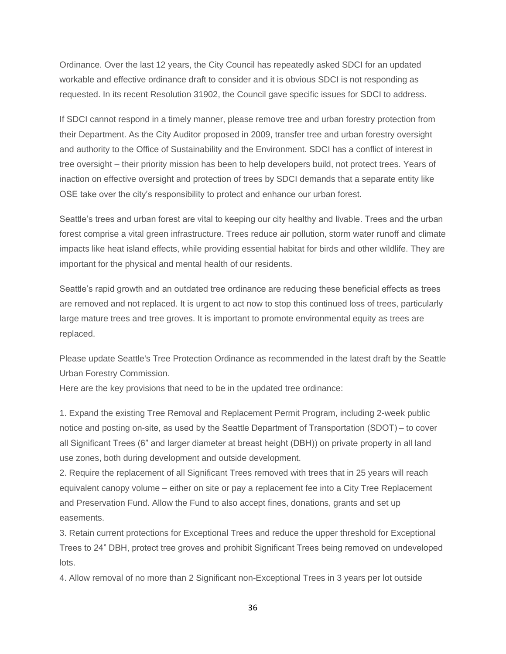Ordinance. Over the last 12 years, the City Council has repeatedly asked SDCI for an updated workable and effective ordinance draft to consider and it is obvious SDCI is not responding as requested. In its recent Resolution 31902, the Council gave specific issues for SDCI to address.

If SDCI cannot respond in a timely manner, please remove tree and urban forestry protection from their Department. As the City Auditor proposed in 2009, transfer tree and urban forestry oversight and authority to the Office of Sustainability and the Environment. SDCI has a conflict of interest in tree oversight – their priority mission has been to help developers build, not protect trees. Years of inaction on effective oversight and protection of trees by SDCI demands that a separate entity like OSE take over the city's responsibility to protect and enhance our urban forest.

Seattle's trees and urban forest are vital to keeping our city healthy and livable. Trees and the urban forest comprise a vital green infrastructure. Trees reduce air pollution, storm water runoff and climate impacts like heat island effects, while providing essential habitat for birds and other wildlife. They are important for the physical and mental health of our residents.

Seattle's rapid growth and an outdated tree ordinance are reducing these beneficial effects as trees are removed and not replaced. It is urgent to act now to stop this continued loss of trees, particularly large mature trees and tree groves. It is important to promote environmental equity as trees are replaced.

Please update Seattle's Tree Protection Ordinance as recommended in the latest draft by the Seattle Urban Forestry Commission.

Here are the key provisions that need to be in the updated tree ordinance:

1. Expand the existing Tree Removal and Replacement Permit Program, including 2-week public notice and posting on-site, as used by the Seattle Department of Transportation (SDOT) – to cover all Significant Trees (6" and larger diameter at breast height (DBH)) on private property in all land use zones, both during development and outside development.

2. Require the replacement of all Significant Trees removed with trees that in 25 years will reach equivalent canopy volume – either on site or pay a replacement fee into a City Tree Replacement and Preservation Fund. Allow the Fund to also accept fines, donations, grants and set up easements.

3. Retain current protections for Exceptional Trees and reduce the upper threshold for Exceptional Trees to 24" DBH, protect tree groves and prohibit Significant Trees being removed on undeveloped lots.

4. Allow removal of no more than 2 Significant non-Exceptional Trees in 3 years per lot outside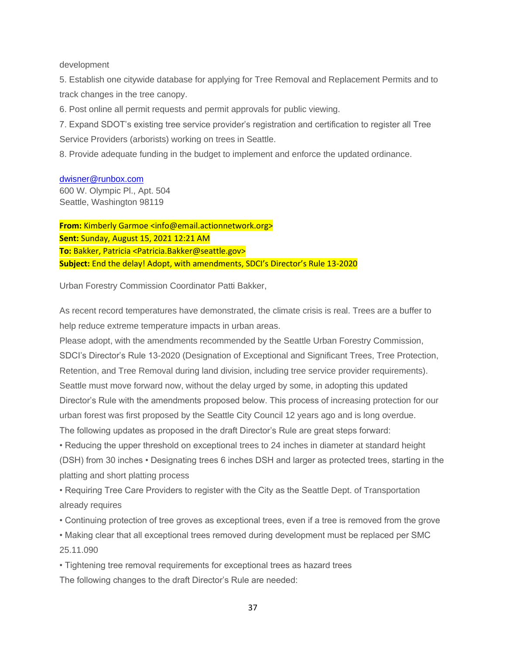#### development

5. Establish one citywide database for applying for Tree Removal and Replacement Permits and to track changes in the tree canopy.

6. Post online all permit requests and permit approvals for public viewing.

7. Expand SDOT's existing tree service provider's registration and certification to register all Tree Service Providers (arborists) working on trees in Seattle.

8. Provide adequate funding in the budget to implement and enforce the updated ordinance.

#### [dwisner@runbox.com](mailto:dwisner@runbox.com)

600 W. Olympic Pl., Apt. 504 Seattle, Washington 98119

**From:** Kimberly Garmoe <info@email.actionnetwork.org> **Sent:** Sunday, August 15, 2021 12:21 AM **To:** Bakker, Patricia <Patricia.Bakker@seattle.gov> **Subject:** End the delay! Adopt, with amendments, SDCI's Director's Rule 13-2020

Urban Forestry Commission Coordinator Patti Bakker,

As recent record temperatures have demonstrated, the climate crisis is real. Trees are a buffer to help reduce extreme temperature impacts in urban areas.

Please adopt, with the amendments recommended by the Seattle Urban Forestry Commission, SDCI's Director's Rule 13-2020 (Designation of Exceptional and Significant Trees, Tree Protection, Retention, and Tree Removal during land division, including tree service provider requirements). Seattle must move forward now, without the delay urged by some, in adopting this updated Director's Rule with the amendments proposed below. This process of increasing protection for our urban forest was first proposed by the Seattle City Council 12 years ago and is long overdue. The following updates as proposed in the draft Director's Rule are great steps forward:

• Reducing the upper threshold on exceptional trees to 24 inches in diameter at standard height (DSH) from 30 inches • Designating trees 6 inches DSH and larger as protected trees, starting in the platting and short platting process

• Requiring Tree Care Providers to register with the City as the Seattle Dept. of Transportation already requires

• Continuing protection of tree groves as exceptional trees, even if a tree is removed from the grove

• Making clear that all exceptional trees removed during development must be replaced per SMC 25.11.090

• Tightening tree removal requirements for exceptional trees as hazard trees The following changes to the draft Director's Rule are needed: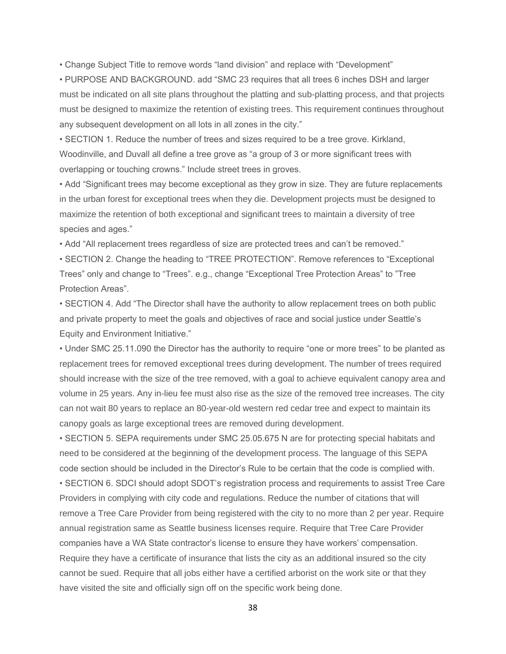• Change Subject Title to remove words "land division" and replace with "Development"

• PURPOSE AND BACKGROUND. add "SMC 23 requires that all trees 6 inches DSH and larger must be indicated on all site plans throughout the platting and sub-platting process, and that projects must be designed to maximize the retention of existing trees. This requirement continues throughout any subsequent development on all lots in all zones in the city."

• SECTION 1. Reduce the number of trees and sizes required to be a tree grove. Kirkland, Woodinville, and Duvall all define a tree grove as "a group of 3 or more significant trees with overlapping or touching crowns." Include street trees in groves.

• Add "Significant trees may become exceptional as they grow in size. They are future replacements in the urban forest for exceptional trees when they die. Development projects must be designed to maximize the retention of both exceptional and significant trees to maintain a diversity of tree species and ages."

• Add "All replacement trees regardless of size are protected trees and can't be removed."

• SECTION 2. Change the heading to "TREE PROTECTION". Remove references to "Exceptional Trees" only and change to "Trees". e.g., change "Exceptional Tree Protection Areas" to "Tree Protection Areas".

• SECTION 4. Add "The Director shall have the authority to allow replacement trees on both public and private property to meet the goals and objectives of race and social justice under Seattle's Equity and Environment Initiative."

• Under SMC 25.11.090 the Director has the authority to require "one or more trees" to be planted as replacement trees for removed exceptional trees during development. The number of trees required should increase with the size of the tree removed, with a goal to achieve equivalent canopy area and volume in 25 years. Any in-lieu fee must also rise as the size of the removed tree increases. The city can not wait 80 years to replace an 80-year-old western red cedar tree and expect to maintain its canopy goals as large exceptional trees are removed during development.

• SECTION 5. SEPA requirements under SMC 25.05.675 N are for protecting special habitats and need to be considered at the beginning of the development process. The language of this SEPA code section should be included in the Director's Rule to be certain that the code is complied with. • SECTION 6. SDCI should adopt SDOT's registration process and requirements to assist Tree Care Providers in complying with city code and regulations. Reduce the number of citations that will remove a Tree Care Provider from being registered with the city to no more than 2 per year. Require annual registration same as Seattle business licenses require. Require that Tree Care Provider companies have a WA State contractor's license to ensure they have workers' compensation. Require they have a certificate of insurance that lists the city as an additional insured so the city cannot be sued. Require that all jobs either have a certified arborist on the work site or that they

have visited the site and officially sign off on the specific work being done.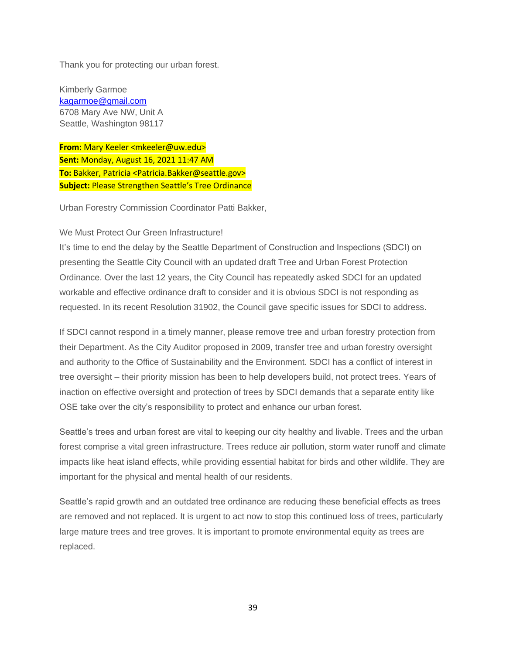Thank you for protecting our urban forest.

Kimberly Garmoe [kagarmoe@gmail.com](mailto:kagarmoe@gmail.com) 6708 Mary Ave NW, Unit A Seattle, Washington 98117

**From:** Mary Keeler <mkeeler@uw.edu> **Sent:** Monday, August 16, 2021 11:47 AM **To:** Bakker, Patricia <Patricia.Bakker@seattle.gov> **Subject:** Please Strengthen Seattle's Tree Ordinance

Urban Forestry Commission Coordinator Patti Bakker,

#### We Must Protect Our Green Infrastructure!

It's time to end the delay by the Seattle Department of Construction and Inspections (SDCI) on presenting the Seattle City Council with an updated draft Tree and Urban Forest Protection Ordinance. Over the last 12 years, the City Council has repeatedly asked SDCI for an updated workable and effective ordinance draft to consider and it is obvious SDCI is not responding as requested. In its recent Resolution 31902, the Council gave specific issues for SDCI to address.

If SDCI cannot respond in a timely manner, please remove tree and urban forestry protection from their Department. As the City Auditor proposed in 2009, transfer tree and urban forestry oversight and authority to the Office of Sustainability and the Environment. SDCI has a conflict of interest in tree oversight – their priority mission has been to help developers build, not protect trees. Years of inaction on effective oversight and protection of trees by SDCI demands that a separate entity like OSE take over the city's responsibility to protect and enhance our urban forest.

Seattle's trees and urban forest are vital to keeping our city healthy and livable. Trees and the urban forest comprise a vital green infrastructure. Trees reduce air pollution, storm water runoff and climate impacts like heat island effects, while providing essential habitat for birds and other wildlife. They are important for the physical and mental health of our residents.

Seattle's rapid growth and an outdated tree ordinance are reducing these beneficial effects as trees are removed and not replaced. It is urgent to act now to stop this continued loss of trees, particularly large mature trees and tree groves. It is important to promote environmental equity as trees are replaced.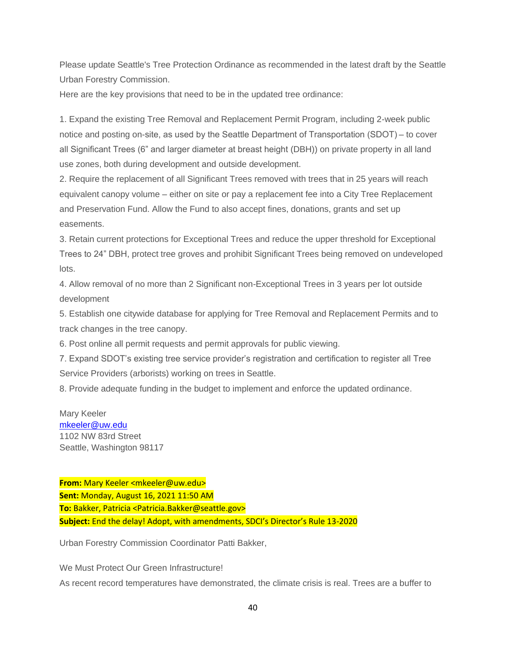Please update Seattle's Tree Protection Ordinance as recommended in the latest draft by the Seattle Urban Forestry Commission.

Here are the key provisions that need to be in the updated tree ordinance:

1. Expand the existing Tree Removal and Replacement Permit Program, including 2-week public notice and posting on-site, as used by the Seattle Department of Transportation (SDOT) – to cover all Significant Trees (6" and larger diameter at breast height (DBH)) on private property in all land use zones, both during development and outside development.

2. Require the replacement of all Significant Trees removed with trees that in 25 years will reach equivalent canopy volume – either on site or pay a replacement fee into a City Tree Replacement and Preservation Fund. Allow the Fund to also accept fines, donations, grants and set up easements.

3. Retain current protections for Exceptional Trees and reduce the upper threshold for Exceptional Trees to 24" DBH, protect tree groves and prohibit Significant Trees being removed on undeveloped lots.

4. Allow removal of no more than 2 Significant non-Exceptional Trees in 3 years per lot outside development

5. Establish one citywide database for applying for Tree Removal and Replacement Permits and to track changes in the tree canopy.

6. Post online all permit requests and permit approvals for public viewing.

7. Expand SDOT's existing tree service provider's registration and certification to register all Tree Service Providers (arborists) working on trees in Seattle.

8. Provide adequate funding in the budget to implement and enforce the updated ordinance.

Mary Keeler [mkeeler@uw.edu](mailto:mkeeler@uw.edu) 1102 NW 83rd Street Seattle, Washington 98117

**From:** Mary Keeler <mkeeler@uw.edu> **Sent:** Monday, August 16, 2021 11:50 AM **To:** Bakker, Patricia <Patricia.Bakker@seattle.gov> **Subject:** End the delay! Adopt, with amendments, SDCI's Director's Rule 13-2020

Urban Forestry Commission Coordinator Patti Bakker,

We Must Protect Our Green Infrastructure! As recent record temperatures have demonstrated, the climate crisis is real. Trees are a buffer to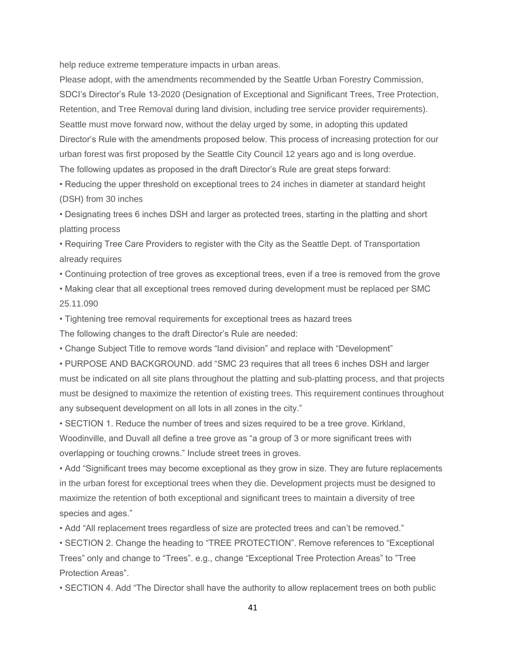help reduce extreme temperature impacts in urban areas.

Please adopt, with the amendments recommended by the Seattle Urban Forestry Commission, SDCI's Director's Rule 13-2020 (Designation of Exceptional and Significant Trees, Tree Protection, Retention, and Tree Removal during land division, including tree service provider requirements). Seattle must move forward now, without the delay urged by some, in adopting this updated Director's Rule with the amendments proposed below. This process of increasing protection for our urban forest was first proposed by the Seattle City Council 12 years ago and is long overdue. The following updates as proposed in the draft Director's Rule are great steps forward:

• Reducing the upper threshold on exceptional trees to 24 inches in diameter at standard height (DSH) from 30 inches

• Designating trees 6 inches DSH and larger as protected trees, starting in the platting and short platting process

• Requiring Tree Care Providers to register with the City as the Seattle Dept. of Transportation already requires

• Continuing protection of tree groves as exceptional trees, even if a tree is removed from the grove

• Making clear that all exceptional trees removed during development must be replaced per SMC 25.11.090

• Tightening tree removal requirements for exceptional trees as hazard trees The following changes to the draft Director's Rule are needed:

• Change Subject Title to remove words "land division" and replace with "Development"

• PURPOSE AND BACKGROUND. add "SMC 23 requires that all trees 6 inches DSH and larger must be indicated on all site plans throughout the platting and sub-platting process, and that projects must be designed to maximize the retention of existing trees. This requirement continues throughout any subsequent development on all lots in all zones in the city."

• SECTION 1. Reduce the number of trees and sizes required to be a tree grove. Kirkland, Woodinville, and Duvall all define a tree grove as "a group of 3 or more significant trees with overlapping or touching crowns." Include street trees in groves.

• Add "Significant trees may become exceptional as they grow in size. They are future replacements in the urban forest for exceptional trees when they die. Development projects must be designed to maximize the retention of both exceptional and significant trees to maintain a diversity of tree species and ages."

• Add "All replacement trees regardless of size are protected trees and can't be removed."

• SECTION 2. Change the heading to "TREE PROTECTION". Remove references to "Exceptional Trees" only and change to "Trees". e.g., change "Exceptional Tree Protection Areas" to "Tree Protection Areas".

• SECTION 4. Add "The Director shall have the authority to allow replacement trees on both public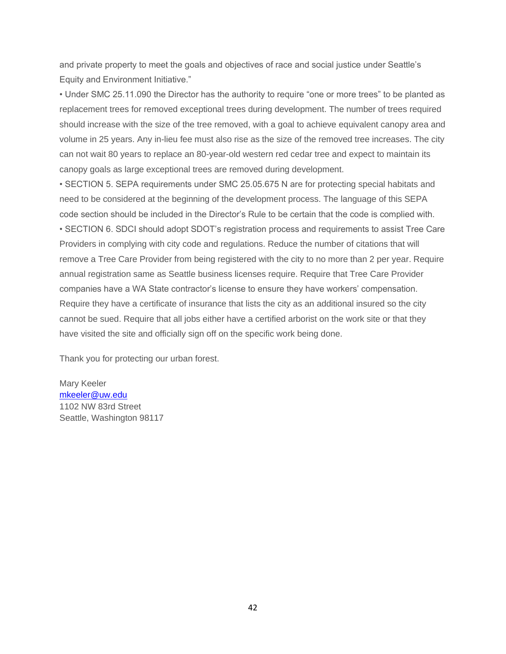and private property to meet the goals and objectives of race and social justice under Seattle's Equity and Environment Initiative."

• Under SMC 25.11.090 the Director has the authority to require "one or more trees" to be planted as replacement trees for removed exceptional trees during development. The number of trees required should increase with the size of the tree removed, with a goal to achieve equivalent canopy area and volume in 25 years. Any in-lieu fee must also rise as the size of the removed tree increases. The city can not wait 80 years to replace an 80-year-old western red cedar tree and expect to maintain its canopy goals as large exceptional trees are removed during development.

• SECTION 5. SEPA requirements under SMC 25.05.675 N are for protecting special habitats and need to be considered at the beginning of the development process. The language of this SEPA code section should be included in the Director's Rule to be certain that the code is complied with. • SECTION 6. SDCI should adopt SDOT's registration process and requirements to assist Tree Care Providers in complying with city code and regulations. Reduce the number of citations that will remove a Tree Care Provider from being registered with the city to no more than 2 per year. Require annual registration same as Seattle business licenses require. Require that Tree Care Provider companies have a WA State contractor's license to ensure they have workers' compensation. Require they have a certificate of insurance that lists the city as an additional insured so the city cannot be sued. Require that all jobs either have a certified arborist on the work site or that they have visited the site and officially sign off on the specific work being done.

Thank you for protecting our urban forest.

Mary Keeler [mkeeler@uw.edu](mailto:mkeeler@uw.edu) 1102 NW 83rd Street Seattle, Washington 98117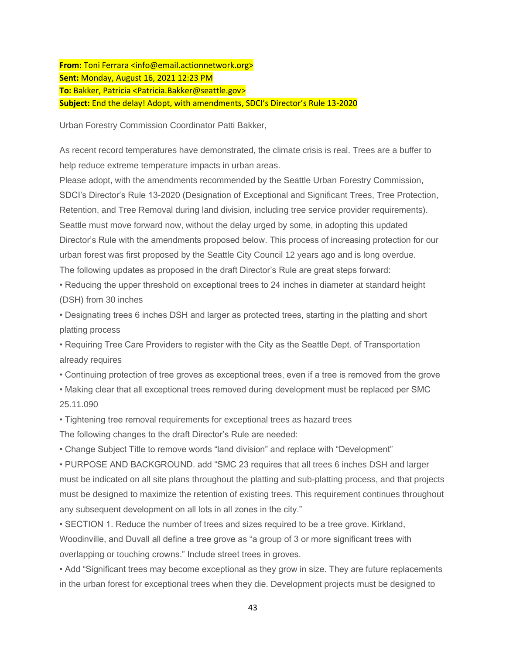**From:** Toni Ferrara <info@email.actionnetwork.org> **Sent:** Monday, August 16, 2021 12:23 PM **To:** Bakker, Patricia <Patricia.Bakker@seattle.gov> **Subject:** End the delay! Adopt, with amendments, SDCI's Director's Rule 13-2020

Urban Forestry Commission Coordinator Patti Bakker,

As recent record temperatures have demonstrated, the climate crisis is real. Trees are a buffer to help reduce extreme temperature impacts in urban areas.

Please adopt, with the amendments recommended by the Seattle Urban Forestry Commission, SDCI's Director's Rule 13-2020 (Designation of Exceptional and Significant Trees, Tree Protection, Retention, and Tree Removal during land division, including tree service provider requirements). Seattle must move forward now, without the delay urged by some, in adopting this updated Director's Rule with the amendments proposed below. This process of increasing protection for our urban forest was first proposed by the Seattle City Council 12 years ago and is long overdue. The following updates as proposed in the draft Director's Rule are great steps forward:

• Reducing the upper threshold on exceptional trees to 24 inches in diameter at standard height (DSH) from 30 inches

• Designating trees 6 inches DSH and larger as protected trees, starting in the platting and short platting process

• Requiring Tree Care Providers to register with the City as the Seattle Dept. of Transportation already requires

• Continuing protection of tree groves as exceptional trees, even if a tree is removed from the grove

• Making clear that all exceptional trees removed during development must be replaced per SMC 25.11.090

• Tightening tree removal requirements for exceptional trees as hazard trees

The following changes to the draft Director's Rule are needed:

• Change Subject Title to remove words "land division" and replace with "Development"

• PURPOSE AND BACKGROUND. add "SMC 23 requires that all trees 6 inches DSH and larger must be indicated on all site plans throughout the platting and sub-platting process, and that projects must be designed to maximize the retention of existing trees. This requirement continues throughout any subsequent development on all lots in all zones in the city."

• SECTION 1. Reduce the number of trees and sizes required to be a tree grove. Kirkland, Woodinville, and Duvall all define a tree grove as "a group of 3 or more significant trees with overlapping or touching crowns." Include street trees in groves.

• Add "Significant trees may become exceptional as they grow in size. They are future replacements in the urban forest for exceptional trees when they die. Development projects must be designed to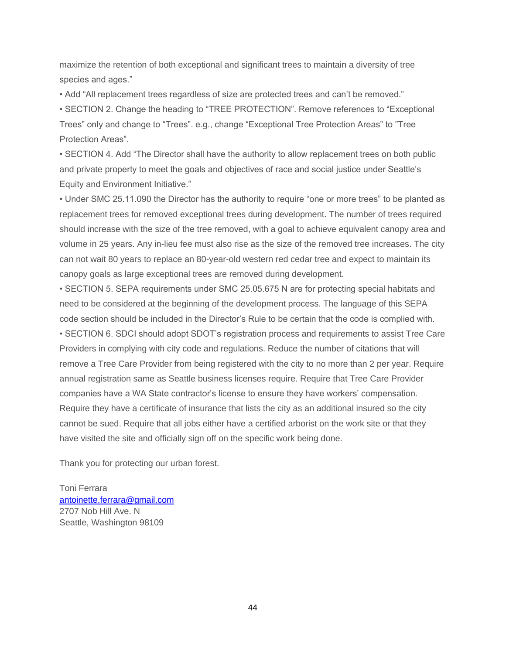maximize the retention of both exceptional and significant trees to maintain a diversity of tree species and ages."

• Add "All replacement trees regardless of size are protected trees and can't be removed."

• SECTION 2. Change the heading to "TREE PROTECTION". Remove references to "Exceptional Trees" only and change to "Trees". e.g., change "Exceptional Tree Protection Areas" to "Tree Protection Areas".

• SECTION 4. Add "The Director shall have the authority to allow replacement trees on both public and private property to meet the goals and objectives of race and social justice under Seattle's Equity and Environment Initiative."

• Under SMC 25.11.090 the Director has the authority to require "one or more trees" to be planted as replacement trees for removed exceptional trees during development. The number of trees required should increase with the size of the tree removed, with a goal to achieve equivalent canopy area and volume in 25 years. Any in-lieu fee must also rise as the size of the removed tree increases. The city can not wait 80 years to replace an 80-year-old western red cedar tree and expect to maintain its canopy goals as large exceptional trees are removed during development.

• SECTION 5. SEPA requirements under SMC 25.05.675 N are for protecting special habitats and need to be considered at the beginning of the development process. The language of this SEPA code section should be included in the Director's Rule to be certain that the code is complied with. • SECTION 6. SDCI should adopt SDOT's registration process and requirements to assist Tree Care Providers in complying with city code and regulations. Reduce the number of citations that will remove a Tree Care Provider from being registered with the city to no more than 2 per year. Require annual registration same as Seattle business licenses require. Require that Tree Care Provider companies have a WA State contractor's license to ensure they have workers' compensation. Require they have a certificate of insurance that lists the city as an additional insured so the city cannot be sued. Require that all jobs either have a certified arborist on the work site or that they have visited the site and officially sign off on the specific work being done.

Thank you for protecting our urban forest.

Toni Ferrara [antoinette.ferrara@gmail.com](mailto:antoinette.ferrara@gmail.com) 2707 Nob Hill Ave. N Seattle, Washington 98109

44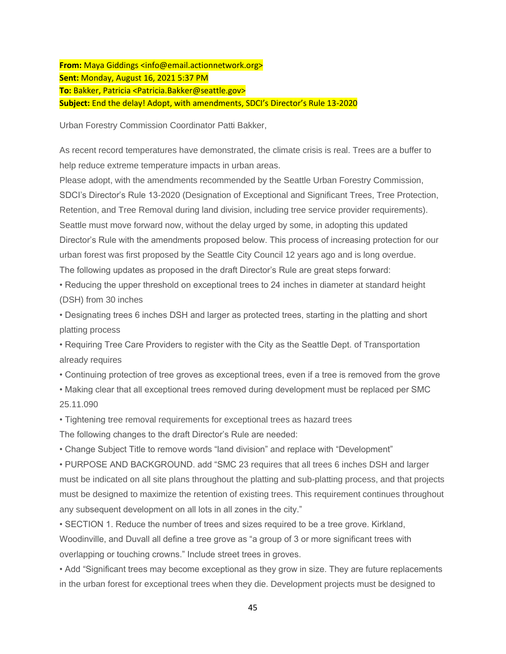**From:** Maya Giddings <info@email.actionnetwork.org> **Sent:** Monday, August 16, 2021 5:37 PM **To:** Bakker, Patricia <Patricia.Bakker@seattle.gov> **Subject:** End the delay! Adopt, with amendments, SDCI's Director's Rule 13-2020

Urban Forestry Commission Coordinator Patti Bakker,

As recent record temperatures have demonstrated, the climate crisis is real. Trees are a buffer to help reduce extreme temperature impacts in urban areas.

Please adopt, with the amendments recommended by the Seattle Urban Forestry Commission, SDCI's Director's Rule 13-2020 (Designation of Exceptional and Significant Trees, Tree Protection, Retention, and Tree Removal during land division, including tree service provider requirements). Seattle must move forward now, without the delay urged by some, in adopting this updated Director's Rule with the amendments proposed below. This process of increasing protection for our urban forest was first proposed by the Seattle City Council 12 years ago and is long overdue. The following updates as proposed in the draft Director's Rule are great steps forward:

• Reducing the upper threshold on exceptional trees to 24 inches in diameter at standard height (DSH) from 30 inches

• Designating trees 6 inches DSH and larger as protected trees, starting in the platting and short platting process

• Requiring Tree Care Providers to register with the City as the Seattle Dept. of Transportation already requires

• Continuing protection of tree groves as exceptional trees, even if a tree is removed from the grove

• Making clear that all exceptional trees removed during development must be replaced per SMC 25.11.090

• Tightening tree removal requirements for exceptional trees as hazard trees

The following changes to the draft Director's Rule are needed:

• Change Subject Title to remove words "land division" and replace with "Development"

• PURPOSE AND BACKGROUND. add "SMC 23 requires that all trees 6 inches DSH and larger must be indicated on all site plans throughout the platting and sub-platting process, and that projects must be designed to maximize the retention of existing trees. This requirement continues throughout any subsequent development on all lots in all zones in the city."

• SECTION 1. Reduce the number of trees and sizes required to be a tree grove. Kirkland, Woodinville, and Duvall all define a tree grove as "a group of 3 or more significant trees with overlapping or touching crowns." Include street trees in groves.

• Add "Significant trees may become exceptional as they grow in size. They are future replacements in the urban forest for exceptional trees when they die. Development projects must be designed to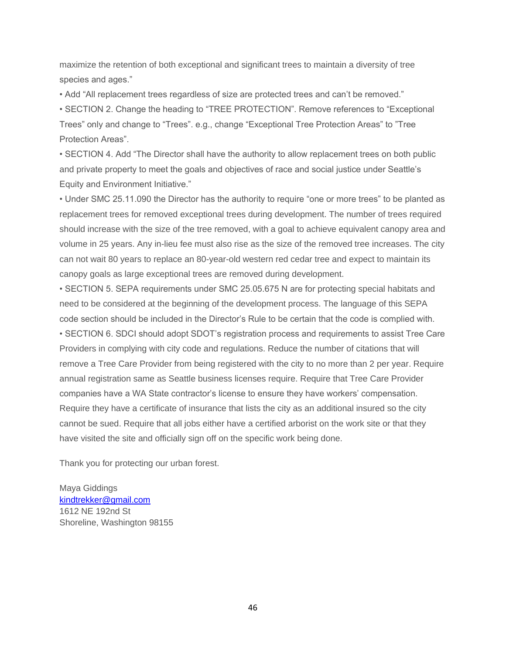maximize the retention of both exceptional and significant trees to maintain a diversity of tree species and ages."

• Add "All replacement trees regardless of size are protected trees and can't be removed."

• SECTION 2. Change the heading to "TREE PROTECTION". Remove references to "Exceptional Trees" only and change to "Trees". e.g., change "Exceptional Tree Protection Areas" to "Tree Protection Areas".

• SECTION 4. Add "The Director shall have the authority to allow replacement trees on both public and private property to meet the goals and objectives of race and social justice under Seattle's Equity and Environment Initiative."

• Under SMC 25.11.090 the Director has the authority to require "one or more trees" to be planted as replacement trees for removed exceptional trees during development. The number of trees required should increase with the size of the tree removed, with a goal to achieve equivalent canopy area and volume in 25 years. Any in-lieu fee must also rise as the size of the removed tree increases. The city can not wait 80 years to replace an 80-year-old western red cedar tree and expect to maintain its canopy goals as large exceptional trees are removed during development.

• SECTION 5. SEPA requirements under SMC 25.05.675 N are for protecting special habitats and need to be considered at the beginning of the development process. The language of this SEPA code section should be included in the Director's Rule to be certain that the code is complied with. • SECTION 6. SDCI should adopt SDOT's registration process and requirements to assist Tree Care Providers in complying with city code and regulations. Reduce the number of citations that will remove a Tree Care Provider from being registered with the city to no more than 2 per year. Require annual registration same as Seattle business licenses require. Require that Tree Care Provider companies have a WA State contractor's license to ensure they have workers' compensation. Require they have a certificate of insurance that lists the city as an additional insured so the city cannot be sued. Require that all jobs either have a certified arborist on the work site or that they have visited the site and officially sign off on the specific work being done.

Thank you for protecting our urban forest.

Maya Giddings [kindtrekker@gmail.com](mailto:kindtrekker@gmail.com) 1612 NE 192nd St Shoreline, Washington 98155

46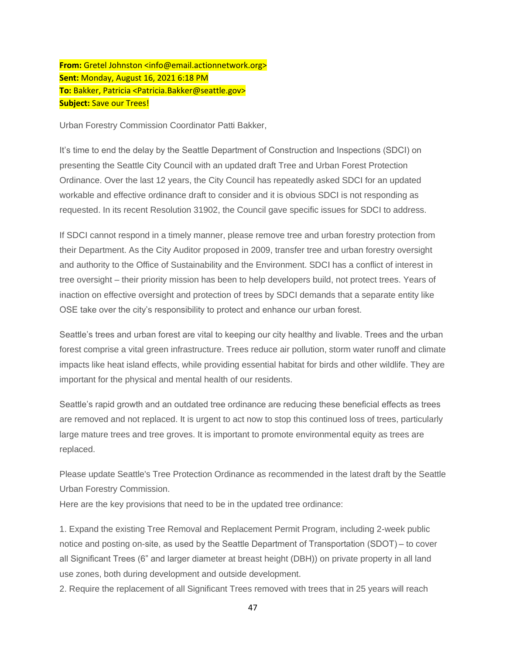**From:** Gretel Johnston <info@email.actionnetwork.org> **Sent:** Monday, August 16, 2021 6:18 PM **To:** Bakker, Patricia <Patricia.Bakker@seattle.gov> **Subject:** Save our Trees!

Urban Forestry Commission Coordinator Patti Bakker,

It's time to end the delay by the Seattle Department of Construction and Inspections (SDCI) on presenting the Seattle City Council with an updated draft Tree and Urban Forest Protection Ordinance. Over the last 12 years, the City Council has repeatedly asked SDCI for an updated workable and effective ordinance draft to consider and it is obvious SDCI is not responding as requested. In its recent Resolution 31902, the Council gave specific issues for SDCI to address.

If SDCI cannot respond in a timely manner, please remove tree and urban forestry protection from their Department. As the City Auditor proposed in 2009, transfer tree and urban forestry oversight and authority to the Office of Sustainability and the Environment. SDCI has a conflict of interest in tree oversight – their priority mission has been to help developers build, not protect trees. Years of inaction on effective oversight and protection of trees by SDCI demands that a separate entity like OSE take over the city's responsibility to protect and enhance our urban forest.

Seattle's trees and urban forest are vital to keeping our city healthy and livable. Trees and the urban forest comprise a vital green infrastructure. Trees reduce air pollution, storm water runoff and climate impacts like heat island effects, while providing essential habitat for birds and other wildlife. They are important for the physical and mental health of our residents.

Seattle's rapid growth and an outdated tree ordinance are reducing these beneficial effects as trees are removed and not replaced. It is urgent to act now to stop this continued loss of trees, particularly large mature trees and tree groves. It is important to promote environmental equity as trees are replaced.

Please update Seattle's Tree Protection Ordinance as recommended in the latest draft by the Seattle Urban Forestry Commission.

Here are the key provisions that need to be in the updated tree ordinance:

1. Expand the existing Tree Removal and Replacement Permit Program, including 2-week public notice and posting on-site, as used by the Seattle Department of Transportation (SDOT) – to cover all Significant Trees (6" and larger diameter at breast height (DBH)) on private property in all land use zones, both during development and outside development.

2. Require the replacement of all Significant Trees removed with trees that in 25 years will reach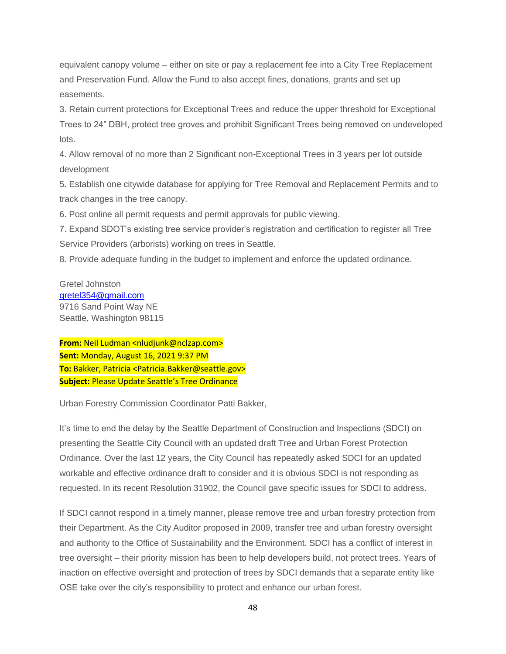equivalent canopy volume – either on site or pay a replacement fee into a City Tree Replacement and Preservation Fund. Allow the Fund to also accept fines, donations, grants and set up easements.

3. Retain current protections for Exceptional Trees and reduce the upper threshold for Exceptional Trees to 24" DBH, protect tree groves and prohibit Significant Trees being removed on undeveloped lots.

4. Allow removal of no more than 2 Significant non-Exceptional Trees in 3 years per lot outside development

5. Establish one citywide database for applying for Tree Removal and Replacement Permits and to track changes in the tree canopy.

6. Post online all permit requests and permit approvals for public viewing.

7. Expand SDOT's existing tree service provider's registration and certification to register all Tree Service Providers (arborists) working on trees in Seattle.

8. Provide adequate funding in the budget to implement and enforce the updated ordinance.

Gretel Johnston [gretel354@gmail.com](mailto:gretel354@gmail.com) 9716 Sand Point Way NE Seattle, Washington 98115

**From:** Neil Ludman <nludjunk@nclzap.com> **Sent:** Monday, August 16, 2021 9:37 PM **To:** Bakker, Patricia <Patricia.Bakker@seattle.gov> **Subject:** Please Update Seattle's Tree Ordinance

Urban Forestry Commission Coordinator Patti Bakker,

It's time to end the delay by the Seattle Department of Construction and Inspections (SDCI) on presenting the Seattle City Council with an updated draft Tree and Urban Forest Protection Ordinance. Over the last 12 years, the City Council has repeatedly asked SDCI for an updated workable and effective ordinance draft to consider and it is obvious SDCI is not responding as requested. In its recent Resolution 31902, the Council gave specific issues for SDCI to address.

If SDCI cannot respond in a timely manner, please remove tree and urban forestry protection from their Department. As the City Auditor proposed in 2009, transfer tree and urban forestry oversight and authority to the Office of Sustainability and the Environment. SDCI has a conflict of interest in tree oversight – their priority mission has been to help developers build, not protect trees. Years of inaction on effective oversight and protection of trees by SDCI demands that a separate entity like OSE take over the city's responsibility to protect and enhance our urban forest.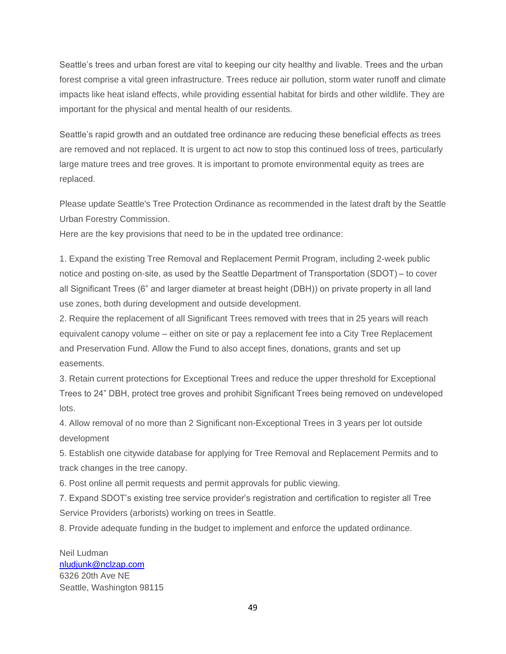Seattle's trees and urban forest are vital to keeping our city healthy and livable. Trees and the urban forest comprise a vital green infrastructure. Trees reduce air pollution, storm water runoff and climate impacts like heat island effects, while providing essential habitat for birds and other wildlife. They are important for the physical and mental health of our residents.

Seattle's rapid growth and an outdated tree ordinance are reducing these beneficial effects as trees are removed and not replaced. It is urgent to act now to stop this continued loss of trees, particularly large mature trees and tree groves. It is important to promote environmental equity as trees are replaced.

Please update Seattle's Tree Protection Ordinance as recommended in the latest draft by the Seattle Urban Forestry Commission.

Here are the key provisions that need to be in the updated tree ordinance:

1. Expand the existing Tree Removal and Replacement Permit Program, including 2-week public notice and posting on-site, as used by the Seattle Department of Transportation (SDOT) – to cover all Significant Trees (6" and larger diameter at breast height (DBH)) on private property in all land use zones, both during development and outside development.

2. Require the replacement of all Significant Trees removed with trees that in 25 years will reach equivalent canopy volume – either on site or pay a replacement fee into a City Tree Replacement and Preservation Fund. Allow the Fund to also accept fines, donations, grants and set up easements.

3. Retain current protections for Exceptional Trees and reduce the upper threshold for Exceptional Trees to 24" DBH, protect tree groves and prohibit Significant Trees being removed on undeveloped lots.

4. Allow removal of no more than 2 Significant non-Exceptional Trees in 3 years per lot outside development

5. Establish one citywide database for applying for Tree Removal and Replacement Permits and to track changes in the tree canopy.

6. Post online all permit requests and permit approvals for public viewing.

7. Expand SDOT's existing tree service provider's registration and certification to register all Tree Service Providers (arborists) working on trees in Seattle.

8. Provide adequate funding in the budget to implement and enforce the updated ordinance.

Neil Ludman [nludjunk@nclzap.com](mailto:nludjunk@nclzap.com) 6326 20th Ave NE Seattle, Washington 98115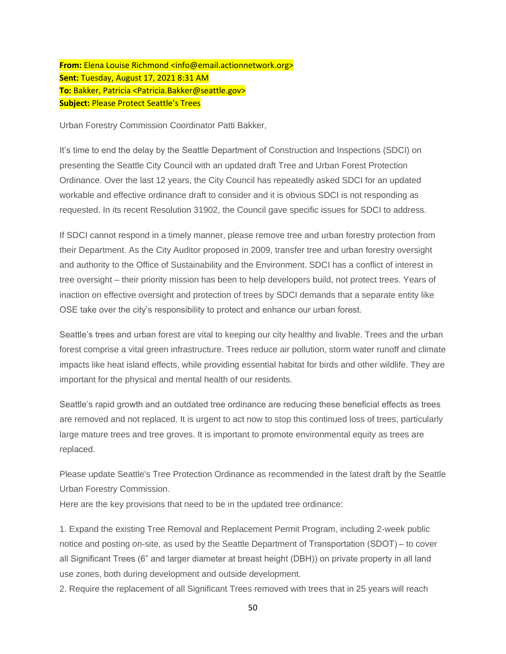**From:** Elena Louise Richmond <info@email.actionnetwork.org> **Sent:** Tuesday, August 17, 2021 8:31 AM **To:** Bakker, Patricia <Patricia.Bakker@seattle.gov> **Subject:** Please Protect Seattle's Trees

Urban Forestry Commission Coordinator Patti Bakker,

It's time to end the delay by the Seattle Department of Construction and Inspections (SDCI) on presenting the Seattle City Council with an updated draft Tree and Urban Forest Protection Ordinance. Over the last 12 years, the City Council has repeatedly asked SDCI for an updated workable and effective ordinance draft to consider and it is obvious SDCI is not responding as requested. In its recent Resolution 31902, the Council gave specific issues for SDCI to address.

If SDCI cannot respond in a timely manner, please remove tree and urban forestry protection from their Department. As the City Auditor proposed in 2009, transfer tree and urban forestry oversight and authority to the Office of Sustainability and the Environment. SDCI has a conflict of interest in tree oversight – their priority mission has been to help developers build, not protect trees. Years of inaction on effective oversight and protection of trees by SDCI demands that a separate entity like OSE take over the city's responsibility to protect and enhance our urban forest.

Seattle's trees and urban forest are vital to keeping our city healthy and livable. Trees and the urban forest comprise a vital green infrastructure. Trees reduce air pollution, storm water runoff and climate impacts like heat island effects, while providing essential habitat for birds and other wildlife. They are important for the physical and mental health of our residents.

Seattle's rapid growth and an outdated tree ordinance are reducing these beneficial effects as trees are removed and not replaced. It is urgent to act now to stop this continued loss of trees, particularly large mature trees and tree groves. It is important to promote environmental equity as trees are replaced.

Please update Seattle's Tree Protection Ordinance as recommended in the latest draft by the Seattle Urban Forestry Commission.

Here are the key provisions that need to be in the updated tree ordinance:

1. Expand the existing Tree Removal and Replacement Permit Program, including 2-week public notice and posting on-site, as used by the Seattle Department of Transportation (SDOT) – to cover all Significant Trees (6" and larger diameter at breast height (DBH)) on private property in all land use zones, both during development and outside development.

2. Require the replacement of all Significant Trees removed with trees that in 25 years will reach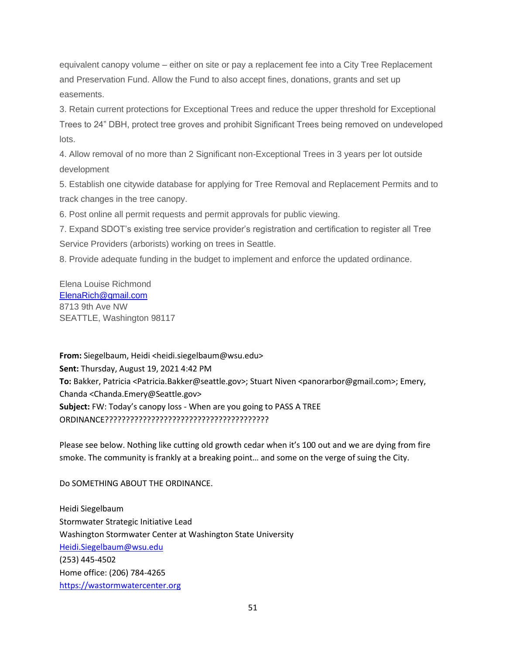equivalent canopy volume – either on site or pay a replacement fee into a City Tree Replacement and Preservation Fund. Allow the Fund to also accept fines, donations, grants and set up easements.

3. Retain current protections for Exceptional Trees and reduce the upper threshold for Exceptional Trees to 24" DBH, protect tree groves and prohibit Significant Trees being removed on undeveloped lots.

4. Allow removal of no more than 2 Significant non-Exceptional Trees in 3 years per lot outside development

5. Establish one citywide database for applying for Tree Removal and Replacement Permits and to track changes in the tree canopy.

6. Post online all permit requests and permit approvals for public viewing.

7. Expand SDOT's existing tree service provider's registration and certification to register all Tree Service Providers (arborists) working on trees in Seattle.

8. Provide adequate funding in the budget to implement and enforce the updated ordinance.

Elena Louise Richmond [ElenaRich@gmail.com](mailto:ElenaRich@gmail.com) 8713 9th Ave NW SEATTLE, Washington 98117

**From:** Siegelbaum, Heidi <heidi.siegelbaum@wsu.edu> **Sent:** Thursday, August 19, 2021 4:42 PM **To:** Bakker, Patricia <Patricia.Bakker@seattle.gov>; Stuart Niven <panorarbor@gmail.com>; Emery, Chanda <Chanda.Emery@Seattle.gov> **Subject:** FW: Today's canopy loss - When are you going to PASS A TREE ORDINANCE???????????????????????????????????????

Please see below. Nothing like cutting old growth cedar when it's 100 out and we are dying from fire smoke. The community is frankly at a breaking point… and some on the verge of suing the City.

Do SOMETHING ABOUT THE ORDINANCE.

Heidi Siegelbaum Stormwater Strategic Initiative Lead Washington Stormwater Center at Washington State University [Heidi.Siegelbaum@wsu.edu](mailto:Heidi.Siegelbaum@wsu.edu) (253) 445-4502 Home office: (206) 784-4265 [https://wastormwatercenter.org](https://protect2.fireeye.com/v1/url?k=30b3e57e-6f28dc35-30b3cdce-867c6b071c6f-9f61b571e74c09b2&q=1&e=07b91f29-c047-4b88-bfef-9b7dd0e35a9d&u=https%3A%2F%2Fwastormwatercenter.org%2F)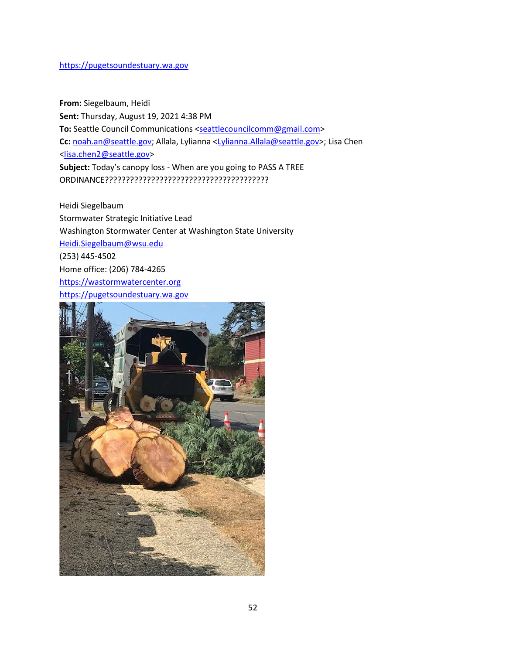#### [https://pugetsoundestuary.wa.gov](https://pugetsoundestuary.wa.gov/)

**From:** Siegelbaum, Heidi **Sent:** Thursday, August 19, 2021 4:38 PM **To:** Seattle Council Communications [<seattlecouncilcomm@gmail.com>](mailto:seattlecouncilcomm@gmail.com) **Cc:** [noah.an@seattle.gov;](mailto:noah.an@seattle.gov) Allala, Lylianna [<Lylianna.Allala@seattle.gov>](mailto:Lylianna.Allala@seattle.gov); Lisa Chen [<lisa.chen2@seattle.gov>](mailto:lisa.chen2@seattle.gov) **Subject:** Today's canopy loss - When are you going to PASS A TREE ORDINANCE???????????????????????????????????????

Heidi Siegelbaum Stormwater Strategic Initiative Lead Washington Stormwater Center at Washington State University [Heidi.Siegelbaum@wsu.edu](mailto:Heidi.Siegelbaum@wsu.edu) (253) 445-4502 Home office: (206) 784-4265 [https://wastormwatercenter.org](https://protect2.fireeye.com/v1/url?k=d1dd7e98-8e4647d3-d1dd5628-867c6b071c6f-7fd4d8258ad0378e&q=1&e=07b91f29-c047-4b88-bfef-9b7dd0e35a9d&u=https%3A%2F%2Fwastormwatercenter.org%2F) [https://pugetsoundestuary.wa.gov](https://pugetsoundestuary.wa.gov/)

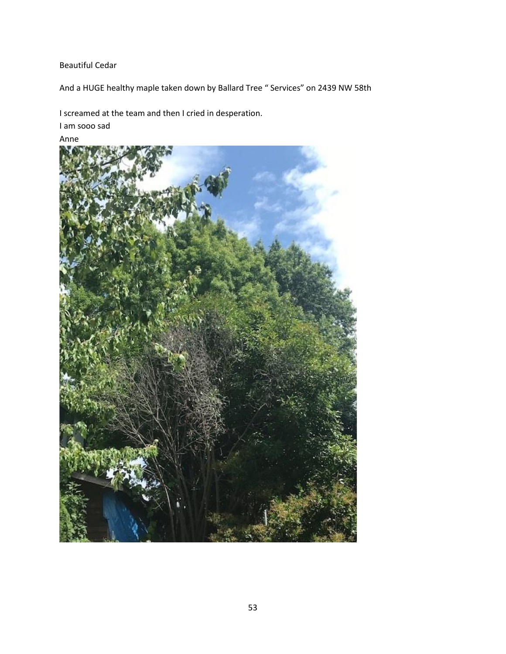### Beautiful Cedar

And a HUGE healthy maple taken down by Ballard Tree " Services" on 2439 NW 58th

I screamed at the team and then I cried in desperation.

I am sooo sad

Anne

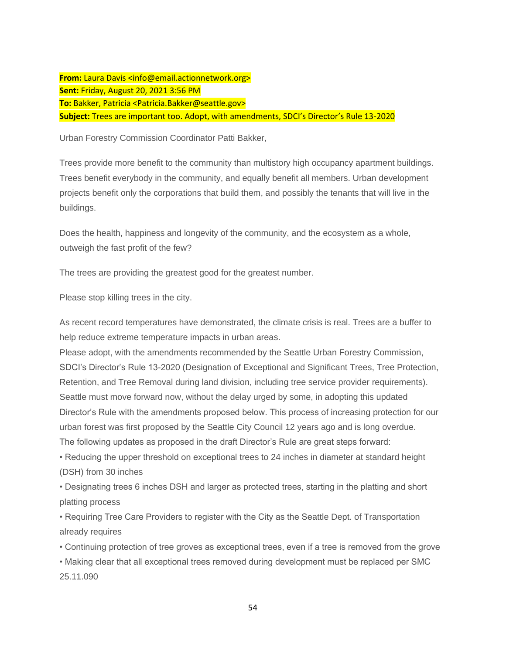**From:** Laura Davis <info@email.actionnetwork.org> **Sent:** Friday, August 20, 2021 3:56 PM **To:** Bakker, Patricia <Patricia.Bakker@seattle.gov> **Subject:** Trees are important too. Adopt, with amendments, SDCI's Director's Rule 13-2020

Urban Forestry Commission Coordinator Patti Bakker,

Trees provide more benefit to the community than multistory high occupancy apartment buildings. Trees benefit everybody in the community, and equally benefit all members. Urban development projects benefit only the corporations that build them, and possibly the tenants that will live in the buildings.

Does the health, happiness and longevity of the community, and the ecosystem as a whole, outweigh the fast profit of the few?

The trees are providing the greatest good for the greatest number.

Please stop killing trees in the city.

As recent record temperatures have demonstrated, the climate crisis is real. Trees are a buffer to help reduce extreme temperature impacts in urban areas.

Please adopt, with the amendments recommended by the Seattle Urban Forestry Commission, SDCI's Director's Rule 13-2020 (Designation of Exceptional and Significant Trees, Tree Protection, Retention, and Tree Removal during land division, including tree service provider requirements). Seattle must move forward now, without the delay urged by some, in adopting this updated Director's Rule with the amendments proposed below. This process of increasing protection for our urban forest was first proposed by the Seattle City Council 12 years ago and is long overdue. The following updates as proposed in the draft Director's Rule are great steps forward:

• Reducing the upper threshold on exceptional trees to 24 inches in diameter at standard height (DSH) from 30 inches

• Designating trees 6 inches DSH and larger as protected trees, starting in the platting and short platting process

• Requiring Tree Care Providers to register with the City as the Seattle Dept. of Transportation already requires

• Continuing protection of tree groves as exceptional trees, even if a tree is removed from the grove

• Making clear that all exceptional trees removed during development must be replaced per SMC 25.11.090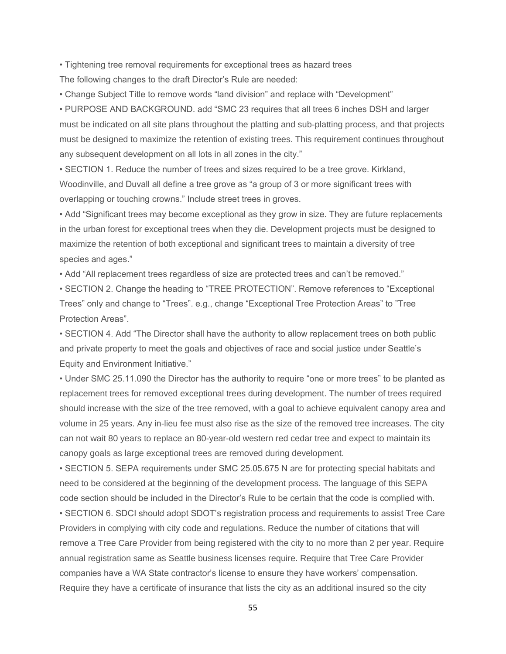• Tightening tree removal requirements for exceptional trees as hazard trees The following changes to the draft Director's Rule are needed:

• Change Subject Title to remove words "land division" and replace with "Development"

• PURPOSE AND BACKGROUND. add "SMC 23 requires that all trees 6 inches DSH and larger must be indicated on all site plans throughout the platting and sub-platting process, and that projects must be designed to maximize the retention of existing trees. This requirement continues throughout any subsequent development on all lots in all zones in the city."

• SECTION 1. Reduce the number of trees and sizes required to be a tree grove. Kirkland, Woodinville, and Duvall all define a tree grove as "a group of 3 or more significant trees with overlapping or touching crowns." Include street trees in groves.

• Add "Significant trees may become exceptional as they grow in size. They are future replacements in the urban forest for exceptional trees when they die. Development projects must be designed to maximize the retention of both exceptional and significant trees to maintain a diversity of tree species and ages."

• Add "All replacement trees regardless of size are protected trees and can't be removed."

• SECTION 2. Change the heading to "TREE PROTECTION". Remove references to "Exceptional Trees" only and change to "Trees". e.g., change "Exceptional Tree Protection Areas" to "Tree Protection Areas".

• SECTION 4. Add "The Director shall have the authority to allow replacement trees on both public and private property to meet the goals and objectives of race and social justice under Seattle's Equity and Environment Initiative."

• Under SMC 25.11.090 the Director has the authority to require "one or more trees" to be planted as replacement trees for removed exceptional trees during development. The number of trees required should increase with the size of the tree removed, with a goal to achieve equivalent canopy area and volume in 25 years. Any in-lieu fee must also rise as the size of the removed tree increases. The city can not wait 80 years to replace an 80-year-old western red cedar tree and expect to maintain its canopy goals as large exceptional trees are removed during development.

• SECTION 5. SEPA requirements under SMC 25.05.675 N are for protecting special habitats and need to be considered at the beginning of the development process. The language of this SEPA code section should be included in the Director's Rule to be certain that the code is complied with.

• SECTION 6. SDCI should adopt SDOT's registration process and requirements to assist Tree Care Providers in complying with city code and regulations. Reduce the number of citations that will remove a Tree Care Provider from being registered with the city to no more than 2 per year. Require annual registration same as Seattle business licenses require. Require that Tree Care Provider companies have a WA State contractor's license to ensure they have workers' compensation. Require they have a certificate of insurance that lists the city as an additional insured so the city

55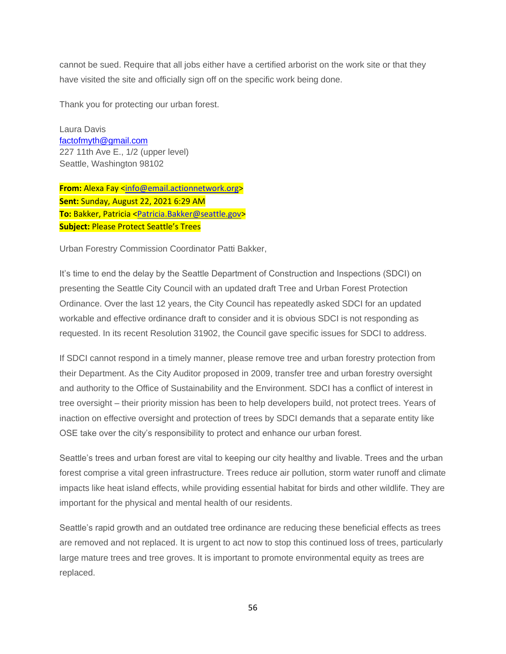cannot be sued. Require that all jobs either have a certified arborist on the work site or that they have visited the site and officially sign off on the specific work being done.

Thank you for protecting our urban forest.

Laura Davis [factofmyth@gmail.com](mailto:factofmyth@gmail.com) 227 11th Ave E., 1/2 (upper level) Seattle, Washington 98102

**From:** Alexa Fay [<info@email.actionnetwork.org>](mailto:info@email.actionnetwork.org) **Sent:** Sunday, August 22, 2021 6:29 AM **To:** Bakker, Patricia [<Patricia.Bakker@seattle.gov>](mailto:Patricia.Bakker@seattle.gov) **Subject:** Please Protect Seattle's Trees

Urban Forestry Commission Coordinator Patti Bakker,

It's time to end the delay by the Seattle Department of Construction and Inspections (SDCI) on presenting the Seattle City Council with an updated draft Tree and Urban Forest Protection Ordinance. Over the last 12 years, the City Council has repeatedly asked SDCI for an updated workable and effective ordinance draft to consider and it is obvious SDCI is not responding as requested. In its recent Resolution 31902, the Council gave specific issues for SDCI to address.

If SDCI cannot respond in a timely manner, please remove tree and urban forestry protection from their Department. As the City Auditor proposed in 2009, transfer tree and urban forestry oversight and authority to the Office of Sustainability and the Environment. SDCI has a conflict of interest in tree oversight – their priority mission has been to help developers build, not protect trees. Years of inaction on effective oversight and protection of trees by SDCI demands that a separate entity like OSE take over the city's responsibility to protect and enhance our urban forest.

Seattle's trees and urban forest are vital to keeping our city healthy and livable. Trees and the urban forest comprise a vital green infrastructure. Trees reduce air pollution, storm water runoff and climate impacts like heat island effects, while providing essential habitat for birds and other wildlife. They are important for the physical and mental health of our residents.

Seattle's rapid growth and an outdated tree ordinance are reducing these beneficial effects as trees are removed and not replaced. It is urgent to act now to stop this continued loss of trees, particularly large mature trees and tree groves. It is important to promote environmental equity as trees are replaced.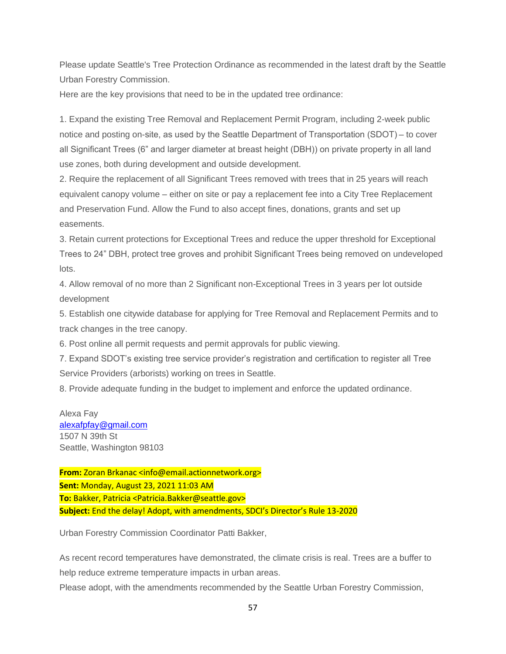Please update Seattle's Tree Protection Ordinance as recommended in the latest draft by the Seattle Urban Forestry Commission.

Here are the key provisions that need to be in the updated tree ordinance:

1. Expand the existing Tree Removal and Replacement Permit Program, including 2-week public notice and posting on-site, as used by the Seattle Department of Transportation (SDOT) – to cover all Significant Trees (6" and larger diameter at breast height (DBH)) on private property in all land use zones, both during development and outside development.

2. Require the replacement of all Significant Trees removed with trees that in 25 years will reach equivalent canopy volume – either on site or pay a replacement fee into a City Tree Replacement and Preservation Fund. Allow the Fund to also accept fines, donations, grants and set up easements.

3. Retain current protections for Exceptional Trees and reduce the upper threshold for Exceptional Trees to 24" DBH, protect tree groves and prohibit Significant Trees being removed on undeveloped lots.

4. Allow removal of no more than 2 Significant non-Exceptional Trees in 3 years per lot outside development

5. Establish one citywide database for applying for Tree Removal and Replacement Permits and to track changes in the tree canopy.

6. Post online all permit requests and permit approvals for public viewing.

7. Expand SDOT's existing tree service provider's registration and certification to register all Tree Service Providers (arborists) working on trees in Seattle.

8. Provide adequate funding in the budget to implement and enforce the updated ordinance.

Alexa Fay [alexafpfay@gmail.com](mailto:alexafpfay@gmail.com) 1507 N 39th St Seattle, Washington 98103

**From:** Zoran Brkanac <info@email.actionnetwork.org> **Sent:** Monday, August 23, 2021 11:03 AM **To:** Bakker, Patricia <Patricia.Bakker@seattle.gov> **Subject:** End the delay! Adopt, with amendments, SDCI's Director's Rule 13-2020

Urban Forestry Commission Coordinator Patti Bakker,

As recent record temperatures have demonstrated, the climate crisis is real. Trees are a buffer to help reduce extreme temperature impacts in urban areas.

Please adopt, with the amendments recommended by the Seattle Urban Forestry Commission,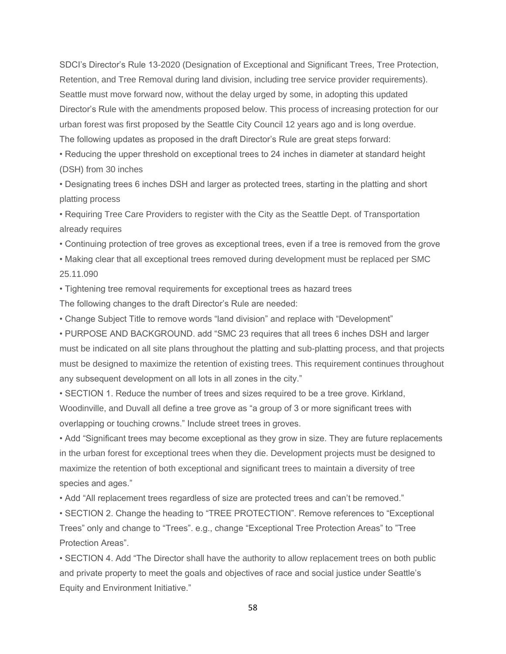SDCI's Director's Rule 13-2020 (Designation of Exceptional and Significant Trees, Tree Protection, Retention, and Tree Removal during land division, including tree service provider requirements). Seattle must move forward now, without the delay urged by some, in adopting this updated Director's Rule with the amendments proposed below. This process of increasing protection for our urban forest was first proposed by the Seattle City Council 12 years ago and is long overdue. The following updates as proposed in the draft Director's Rule are great steps forward:

• Reducing the upper threshold on exceptional trees to 24 inches in diameter at standard height (DSH) from 30 inches

• Designating trees 6 inches DSH and larger as protected trees, starting in the platting and short platting process

• Requiring Tree Care Providers to register with the City as the Seattle Dept. of Transportation already requires

• Continuing protection of tree groves as exceptional trees, even if a tree is removed from the grove

• Making clear that all exceptional trees removed during development must be replaced per SMC 25.11.090

• Tightening tree removal requirements for exceptional trees as hazard trees

The following changes to the draft Director's Rule are needed:

• Change Subject Title to remove words "land division" and replace with "Development"

• PURPOSE AND BACKGROUND. add "SMC 23 requires that all trees 6 inches DSH and larger must be indicated on all site plans throughout the platting and sub-platting process, and that projects must be designed to maximize the retention of existing trees. This requirement continues throughout any subsequent development on all lots in all zones in the city."

• SECTION 1. Reduce the number of trees and sizes required to be a tree grove. Kirkland, Woodinville, and Duvall all define a tree grove as "a group of 3 or more significant trees with overlapping or touching crowns." Include street trees in groves.

• Add "Significant trees may become exceptional as they grow in size. They are future replacements in the urban forest for exceptional trees when they die. Development projects must be designed to maximize the retention of both exceptional and significant trees to maintain a diversity of tree species and ages."

• Add "All replacement trees regardless of size are protected trees and can't be removed."

• SECTION 2. Change the heading to "TREE PROTECTION". Remove references to "Exceptional Trees" only and change to "Trees". e.g., change "Exceptional Tree Protection Areas" to "Tree Protection Areas".

• SECTION 4. Add "The Director shall have the authority to allow replacement trees on both public and private property to meet the goals and objectives of race and social justice under Seattle's Equity and Environment Initiative."